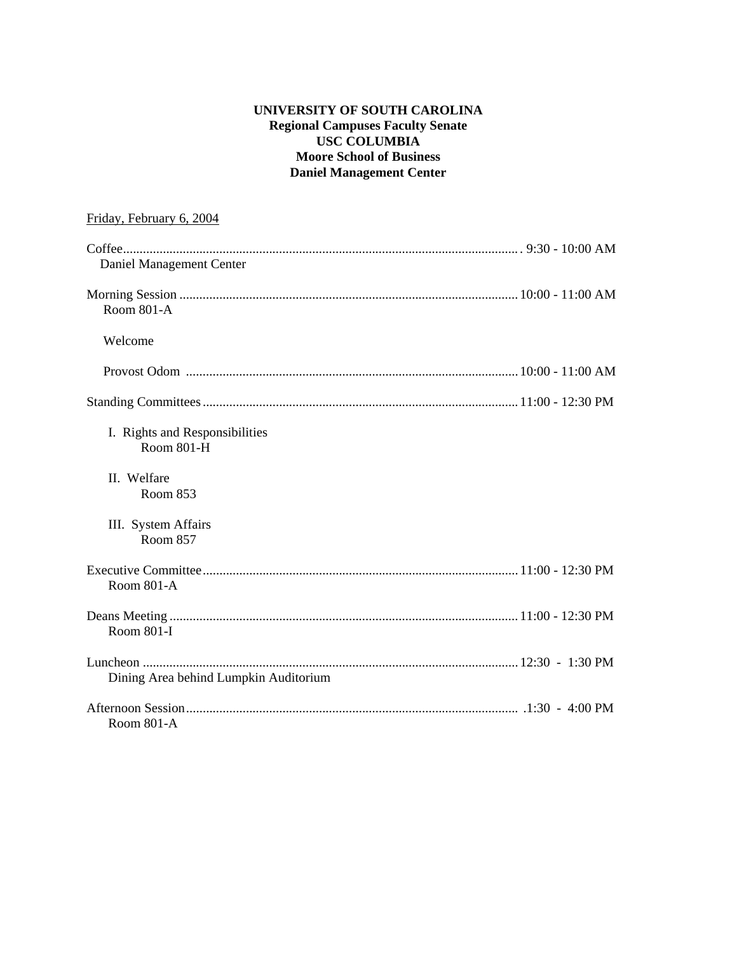## **UNIVERSITY OF SOUTH CAROLINA Regional Campuses Faculty Senate USC COLUMBIA Moore School of Business Daniel Management Center**

| Friday, February 6, 2004                     |  |
|----------------------------------------------|--|
| Daniel Management Center                     |  |
| <b>Room 801-A</b>                            |  |
| Welcome                                      |  |
|                                              |  |
|                                              |  |
| I. Rights and Responsibilities<br>Room 801-H |  |
| II. Welfare<br>Room 853                      |  |
| III. System Affairs<br><b>Room 857</b>       |  |
| Room 801-A                                   |  |
| Room 801-I                                   |  |
| Dining Area behind Lumpkin Auditorium        |  |
| Room 801-A                                   |  |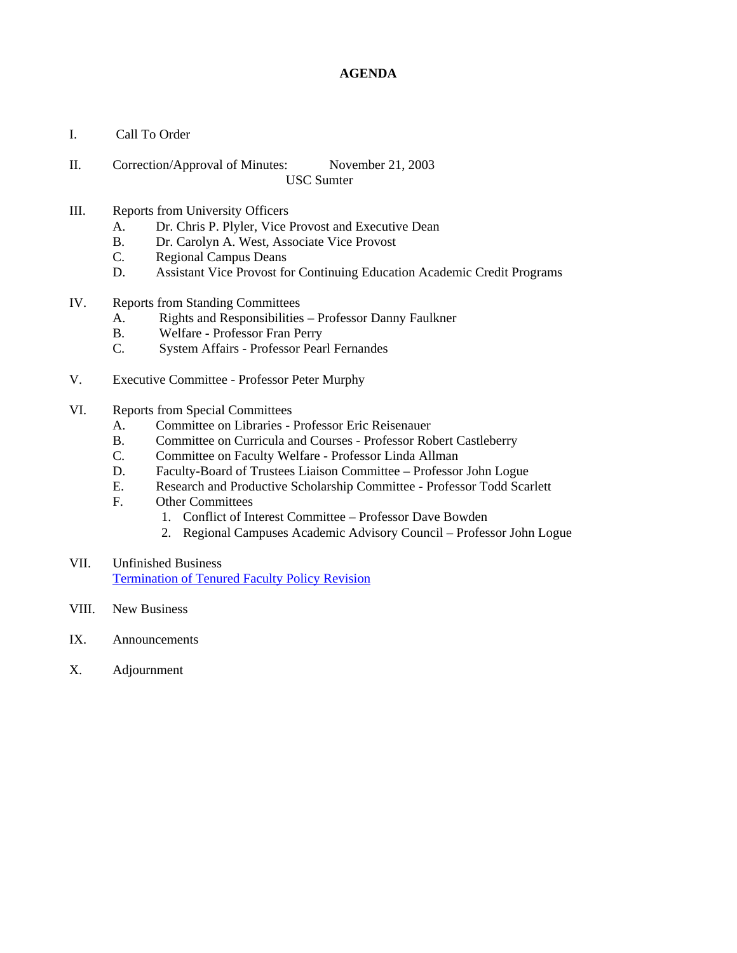#### **AGENDA**

- I. Call To Order
- II. Correction/Approval of Minutes: November 21, 2003 USC Sumter
- III. Reports from University Officers
	- A. Dr. Chris P. Plyler, Vice Provost and Executive Dean
	- B. Dr. Carolyn A. West, Associate Vice Provost
	- C. Regional Campus Deans
	- D. Assistant Vice Provost for Continuing Education Academic Credit Programs
- IV. Reports from Standing Committees
	- A. Rights and Responsibilities Professor Danny Faulkner
	- B. Welfare Professor Fran Perry
	- C. System Affairs Professor Pearl Fernandes
- V. Executive Committee Professor Peter Murphy
- VI. Reports from Special Committees
	- A. Committee on Libraries Professor Eric Reisenauer
	- B. Committee on Curricula and Courses Professor Robert Castleberry
	- C. Committee on Faculty Welfare Professor Linda Allman
	- D. Faculty-Board of Trustees Liaison Committee Professor John Logue
	- E. Research and Productive Scholarship Committee Professor Todd Scarlett
	- F. Other Committees
		- 1. Conflict of Interest Committee Professor Dave Bowden
		- 2. Regional Campuses Academic Advisory Council Professor John Logue
- VII. Unfinished Business Termination of Tenured Faculty Policy Revision
- VIII. New Business
- IX. Announcements
- X. Adjournment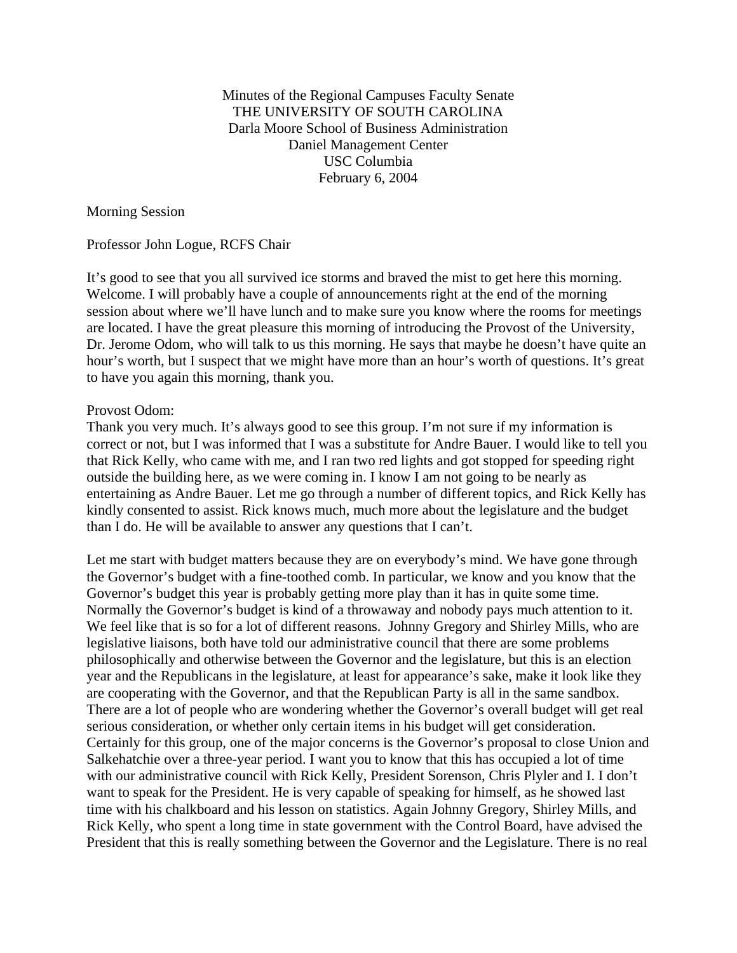Minutes of the Regional Campuses Faculty Senate THE UNIVERSITY OF SOUTH CAROLINA Darla Moore School of Business Administration Daniel Management Center USC Columbia February 6, 2004

Morning Session

Professor John Logue, RCFS Chair

It's good to see that you all survived ice storms and braved the mist to get here this morning. Welcome. I will probably have a couple of announcements right at the end of the morning session about where we'll have lunch and to make sure you know where the rooms for meetings are located. I have the great pleasure this morning of introducing the Provost of the University, Dr. Jerome Odom, who will talk to us this morning. He says that maybe he doesn't have quite an hour's worth, but I suspect that we might have more than an hour's worth of questions. It's great to have you again this morning, thank you.

#### Provost Odom:

Thank you very much. It's always good to see this group. I'm not sure if my information is correct or not, but I was informed that I was a substitute for Andre Bauer. I would like to tell you that Rick Kelly, who came with me, and I ran two red lights and got stopped for speeding right outside the building here, as we were coming in. I know I am not going to be nearly as entertaining as Andre Bauer. Let me go through a number of different topics, and Rick Kelly has kindly consented to assist. Rick knows much, much more about the legislature and the budget than I do. He will be available to answer any questions that I can't.

Let me start with budget matters because they are on everybody's mind. We have gone through the Governor's budget with a fine-toothed comb. In particular, we know and you know that the Governor's budget this year is probably getting more play than it has in quite some time. Normally the Governor's budget is kind of a throwaway and nobody pays much attention to it. We feel like that is so for a lot of different reasons. Johnny Gregory and Shirley Mills, who are legislative liaisons, both have told our administrative council that there are some problems philosophically and otherwise between the Governor and the legislature, but this is an election year and the Republicans in the legislature, at least for appearance's sake, make it look like they are cooperating with the Governor, and that the Republican Party is all in the same sandbox. There are a lot of people who are wondering whether the Governor's overall budget will get real serious consideration, or whether only certain items in his budget will get consideration. Certainly for this group, one of the major concerns is the Governor's proposal to close Union and Salkehatchie over a three-year period. I want you to know that this has occupied a lot of time with our administrative council with Rick Kelly, President Sorenson, Chris Plyler and I. I don't want to speak for the President. He is very capable of speaking for himself, as he showed last time with his chalkboard and his lesson on statistics. Again Johnny Gregory, Shirley Mills, and Rick Kelly, who spent a long time in state government with the Control Board, have advised the President that this is really something between the Governor and the Legislature. There is no real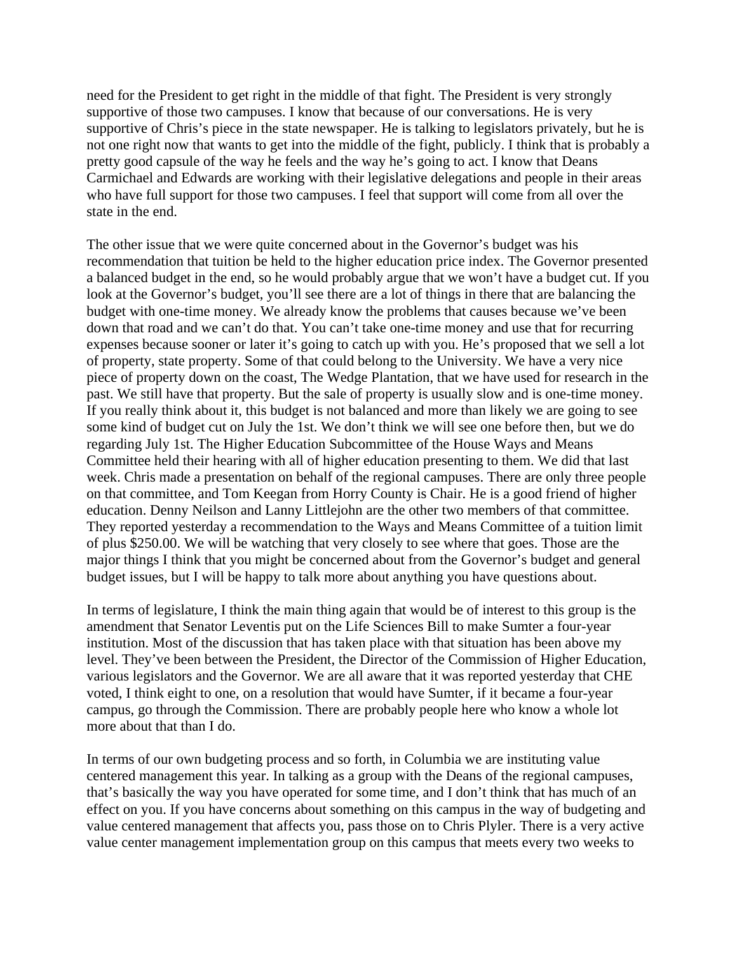need for the President to get right in the middle of that fight. The President is very strongly supportive of those two campuses. I know that because of our conversations. He is very supportive of Chris's piece in the state newspaper. He is talking to legislators privately, but he is not one right now that wants to get into the middle of the fight, publicly. I think that is probably a pretty good capsule of the way he feels and the way he's going to act. I know that Deans Carmichael and Edwards are working with their legislative delegations and people in their areas who have full support for those two campuses. I feel that support will come from all over the state in the end.

The other issue that we were quite concerned about in the Governor's budget was his recommendation that tuition be held to the higher education price index. The Governor presented a balanced budget in the end, so he would probably argue that we won't have a budget cut. If you look at the Governor's budget, you'll see there are a lot of things in there that are balancing the budget with one-time money. We already know the problems that causes because we've been down that road and we can't do that. You can't take one-time money and use that for recurring expenses because sooner or later it's going to catch up with you. He's proposed that we sell a lot of property, state property. Some of that could belong to the University. We have a very nice piece of property down on the coast, The Wedge Plantation, that we have used for research in the past. We still have that property. But the sale of property is usually slow and is one-time money. If you really think about it, this budget is not balanced and more than likely we are going to see some kind of budget cut on July the 1st. We don't think we will see one before then, but we do regarding July 1st. The Higher Education Subcommittee of the House Ways and Means Committee held their hearing with all of higher education presenting to them. We did that last week. Chris made a presentation on behalf of the regional campuses. There are only three people on that committee, and Tom Keegan from Horry County is Chair. He is a good friend of higher education. Denny Neilson and Lanny Littlejohn are the other two members of that committee. They reported yesterday a recommendation to the Ways and Means Committee of a tuition limit of plus \$250.00. We will be watching that very closely to see where that goes. Those are the major things I think that you might be concerned about from the Governor's budget and general budget issues, but I will be happy to talk more about anything you have questions about.

In terms of legislature, I think the main thing again that would be of interest to this group is the amendment that Senator Leventis put on the Life Sciences Bill to make Sumter a four-year institution. Most of the discussion that has taken place with that situation has been above my level. They've been between the President, the Director of the Commission of Higher Education, various legislators and the Governor. We are all aware that it was reported yesterday that CHE voted, I think eight to one, on a resolution that would have Sumter, if it became a four-year campus, go through the Commission. There are probably people here who know a whole lot more about that than I do.

In terms of our own budgeting process and so forth, in Columbia we are instituting value centered management this year. In talking as a group with the Deans of the regional campuses, that's basically the way you have operated for some time, and I don't think that has much of an effect on you. If you have concerns about something on this campus in the way of budgeting and value centered management that affects you, pass those on to Chris Plyler. There is a very active value center management implementation group on this campus that meets every two weeks to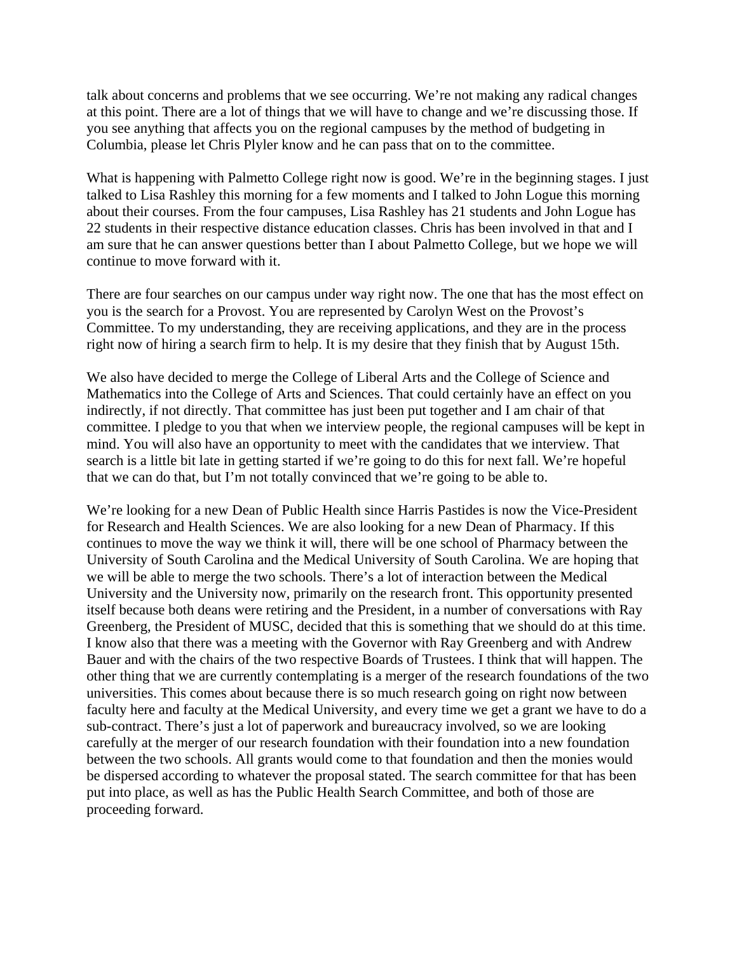talk about concerns and problems that we see occurring. We're not making any radical changes at this point. There are a lot of things that we will have to change and we're discussing those. If you see anything that affects you on the regional campuses by the method of budgeting in Columbia, please let Chris Plyler know and he can pass that on to the committee.

What is happening with Palmetto College right now is good. We're in the beginning stages. I just talked to Lisa Rashley this morning for a few moments and I talked to John Logue this morning about their courses. From the four campuses, Lisa Rashley has 21 students and John Logue has 22 students in their respective distance education classes. Chris has been involved in that and I am sure that he can answer questions better than I about Palmetto College, but we hope we will continue to move forward with it.

There are four searches on our campus under way right now. The one that has the most effect on you is the search for a Provost. You are represented by Carolyn West on the Provost's Committee. To my understanding, they are receiving applications, and they are in the process right now of hiring a search firm to help. It is my desire that they finish that by August 15th.

We also have decided to merge the College of Liberal Arts and the College of Science and Mathematics into the College of Arts and Sciences. That could certainly have an effect on you indirectly, if not directly. That committee has just been put together and I am chair of that committee. I pledge to you that when we interview people, the regional campuses will be kept in mind. You will also have an opportunity to meet with the candidates that we interview. That search is a little bit late in getting started if we're going to do this for next fall. We're hopeful that we can do that, but I'm not totally convinced that we're going to be able to.

We're looking for a new Dean of Public Health since Harris Pastides is now the Vice-President for Research and Health Sciences. We are also looking for a new Dean of Pharmacy. If this continues to move the way we think it will, there will be one school of Pharmacy between the University of South Carolina and the Medical University of South Carolina. We are hoping that we will be able to merge the two schools. There's a lot of interaction between the Medical University and the University now, primarily on the research front. This opportunity presented itself because both deans were retiring and the President, in a number of conversations with Ray Greenberg, the President of MUSC, decided that this is something that we should do at this time. I know also that there was a meeting with the Governor with Ray Greenberg and with Andrew Bauer and with the chairs of the two respective Boards of Trustees. I think that will happen. The other thing that we are currently contemplating is a merger of the research foundations of the two universities. This comes about because there is so much research going on right now between faculty here and faculty at the Medical University, and every time we get a grant we have to do a sub-contract. There's just a lot of paperwork and bureaucracy involved, so we are looking carefully at the merger of our research foundation with their foundation into a new foundation between the two schools. All grants would come to that foundation and then the monies would be dispersed according to whatever the proposal stated. The search committee for that has been put into place, as well as has the Public Health Search Committee, and both of those are proceeding forward.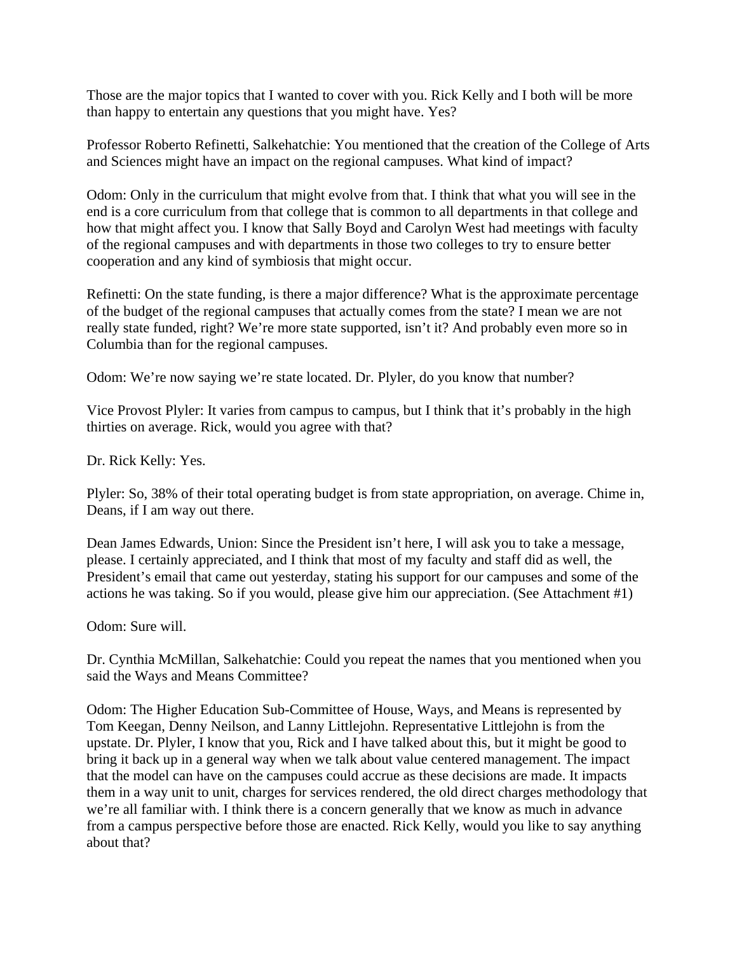Those are the major topics that I wanted to cover with you. Rick Kelly and I both will be more than happy to entertain any questions that you might have. Yes?

Professor Roberto Refinetti, Salkehatchie: You mentioned that the creation of the College of Arts and Sciences might have an impact on the regional campuses. What kind of impact?

Odom: Only in the curriculum that might evolve from that. I think that what you will see in the end is a core curriculum from that college that is common to all departments in that college and how that might affect you. I know that Sally Boyd and Carolyn West had meetings with faculty of the regional campuses and with departments in those two colleges to try to ensure better cooperation and any kind of symbiosis that might occur.

Refinetti: On the state funding, is there a major difference? What is the approximate percentage of the budget of the regional campuses that actually comes from the state? I mean we are not really state funded, right? We're more state supported, isn't it? And probably even more so in Columbia than for the regional campuses.

Odom: We're now saying we're state located. Dr. Plyler, do you know that number?

Vice Provost Plyler: It varies from campus to campus, but I think that it's probably in the high thirties on average. Rick, would you agree with that?

Dr. Rick Kelly: Yes.

Plyler: So, 38% of their total operating budget is from state appropriation, on average. Chime in, Deans, if I am way out there.

Dean James Edwards, Union: Since the President isn't here, I will ask you to take a message, please. I certainly appreciated, and I think that most of my faculty and staff did as well, the President's email that came out yesterday, stating his support for our campuses and some of the actions he was taking. So if you would, please give him our appreciation. (See Attachment #1)

Odom: Sure will.

Dr. Cynthia McMillan, Salkehatchie: Could you repeat the names that you mentioned when you said the Ways and Means Committee?

Odom: The Higher Education Sub-Committee of House, Ways, and Means is represented by Tom Keegan, Denny Neilson, and Lanny Littlejohn. Representative Littlejohn is from the upstate. Dr. Plyler, I know that you, Rick and I have talked about this, but it might be good to bring it back up in a general way when we talk about value centered management. The impact that the model can have on the campuses could accrue as these decisions are made. It impacts them in a way unit to unit, charges for services rendered, the old direct charges methodology that we're all familiar with. I think there is a concern generally that we know as much in advance from a campus perspective before those are enacted. Rick Kelly, would you like to say anything about that?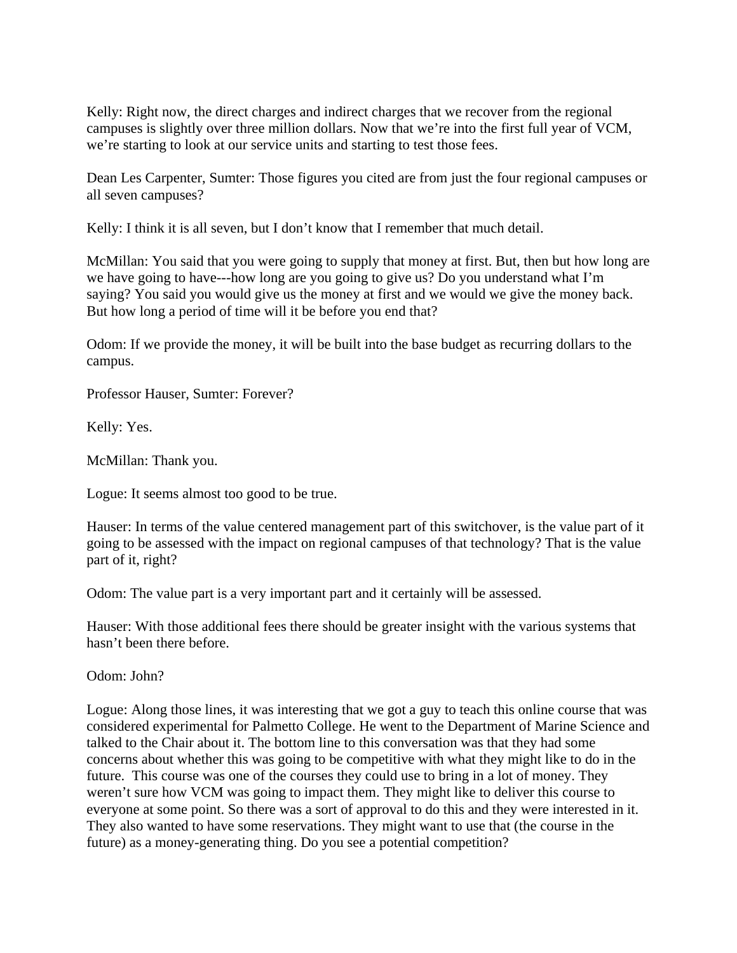Kelly: Right now, the direct charges and indirect charges that we recover from the regional campuses is slightly over three million dollars. Now that we're into the first full year of VCM, we're starting to look at our service units and starting to test those fees.

Dean Les Carpenter, Sumter: Those figures you cited are from just the four regional campuses or all seven campuses?

Kelly: I think it is all seven, but I don't know that I remember that much detail.

McMillan: You said that you were going to supply that money at first. But, then but how long are we have going to have---how long are you going to give us? Do you understand what I'm saying? You said you would give us the money at first and we would we give the money back. But how long a period of time will it be before you end that?

Odom: If we provide the money, it will be built into the base budget as recurring dollars to the campus.

Professor Hauser, Sumter: Forever?

Kelly: Yes.

McMillan: Thank you.

Logue: It seems almost too good to be true.

Hauser: In terms of the value centered management part of this switchover, is the value part of it going to be assessed with the impact on regional campuses of that technology? That is the value part of it, right?

Odom: The value part is a very important part and it certainly will be assessed.

Hauser: With those additional fees there should be greater insight with the various systems that hasn't been there before.

Odom: John?

Logue: Along those lines, it was interesting that we got a guy to teach this online course that was considered experimental for Palmetto College. He went to the Department of Marine Science and talked to the Chair about it. The bottom line to this conversation was that they had some concerns about whether this was going to be competitive with what they might like to do in the future. This course was one of the courses they could use to bring in a lot of money. They weren't sure how VCM was going to impact them. They might like to deliver this course to everyone at some point. So there was a sort of approval to do this and they were interested in it. They also wanted to have some reservations. They might want to use that (the course in the future) as a money-generating thing. Do you see a potential competition?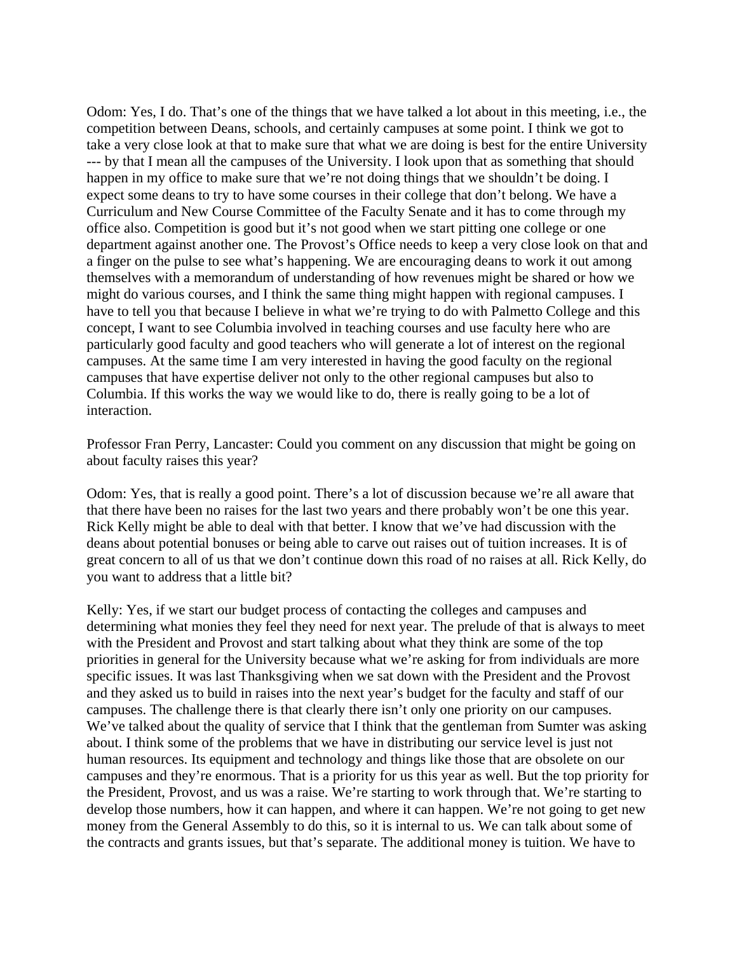Odom: Yes, I do. That's one of the things that we have talked a lot about in this meeting, i.e., the competition between Deans, schools, and certainly campuses at some point. I think we got to take a very close look at that to make sure that what we are doing is best for the entire University --- by that I mean all the campuses of the University. I look upon that as something that should happen in my office to make sure that we're not doing things that we shouldn't be doing. I expect some deans to try to have some courses in their college that don't belong. We have a Curriculum and New Course Committee of the Faculty Senate and it has to come through my office also. Competition is good but it's not good when we start pitting one college or one department against another one. The Provost's Office needs to keep a very close look on that and a finger on the pulse to see what's happening. We are encouraging deans to work it out among themselves with a memorandum of understanding of how revenues might be shared or how we might do various courses, and I think the same thing might happen with regional campuses. I have to tell you that because I believe in what we're trying to do with Palmetto College and this concept, I want to see Columbia involved in teaching courses and use faculty here who are particularly good faculty and good teachers who will generate a lot of interest on the regional campuses. At the same time I am very interested in having the good faculty on the regional campuses that have expertise deliver not only to the other regional campuses but also to Columbia. If this works the way we would like to do, there is really going to be a lot of interaction.

Professor Fran Perry, Lancaster: Could you comment on any discussion that might be going on about faculty raises this year?

Odom: Yes, that is really a good point. There's a lot of discussion because we're all aware that that there have been no raises for the last two years and there probably won't be one this year. Rick Kelly might be able to deal with that better. I know that we've had discussion with the deans about potential bonuses or being able to carve out raises out of tuition increases. It is of great concern to all of us that we don't continue down this road of no raises at all. Rick Kelly, do you want to address that a little bit?

Kelly: Yes, if we start our budget process of contacting the colleges and campuses and determining what monies they feel they need for next year. The prelude of that is always to meet with the President and Provost and start talking about what they think are some of the top priorities in general for the University because what we're asking for from individuals are more specific issues. It was last Thanksgiving when we sat down with the President and the Provost and they asked us to build in raises into the next year's budget for the faculty and staff of our campuses. The challenge there is that clearly there isn't only one priority on our campuses. We've talked about the quality of service that I think that the gentleman from Sumter was asking about. I think some of the problems that we have in distributing our service level is just not human resources. Its equipment and technology and things like those that are obsolete on our campuses and they're enormous. That is a priority for us this year as well. But the top priority for the President, Provost, and us was a raise. We're starting to work through that. We're starting to develop those numbers, how it can happen, and where it can happen. We're not going to get new money from the General Assembly to do this, so it is internal to us. We can talk about some of the contracts and grants issues, but that's separate. The additional money is tuition. We have to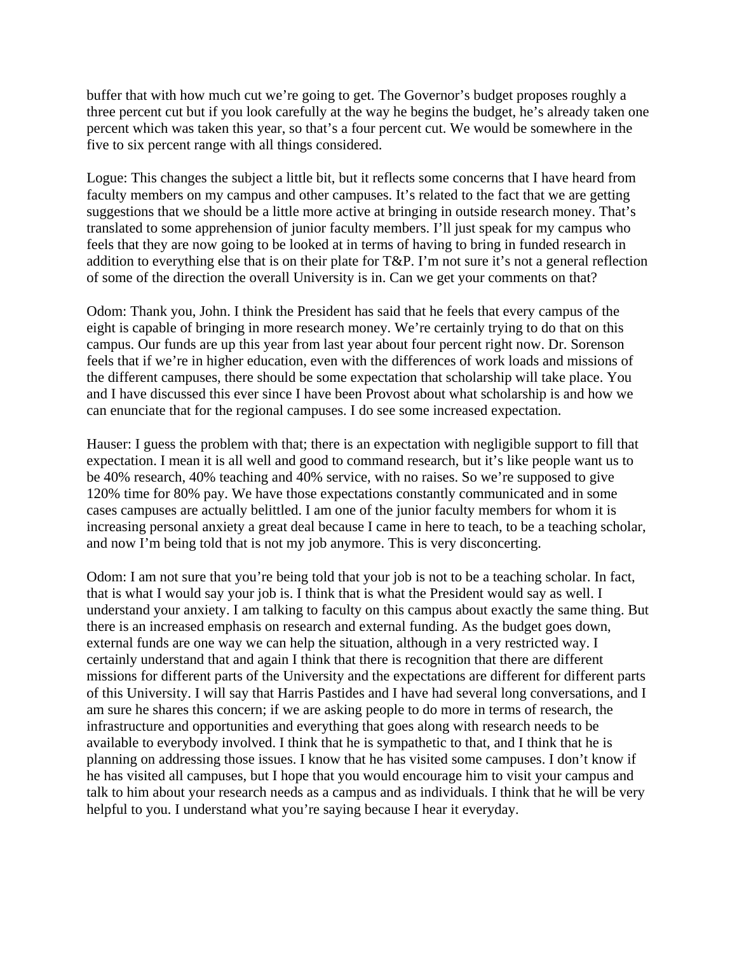buffer that with how much cut we're going to get. The Governor's budget proposes roughly a three percent cut but if you look carefully at the way he begins the budget, he's already taken one percent which was taken this year, so that's a four percent cut. We would be somewhere in the five to six percent range with all things considered.

Logue: This changes the subject a little bit, but it reflects some concerns that I have heard from faculty members on my campus and other campuses. It's related to the fact that we are getting suggestions that we should be a little more active at bringing in outside research money. That's translated to some apprehension of junior faculty members. I'll just speak for my campus who feels that they are now going to be looked at in terms of having to bring in funded research in addition to everything else that is on their plate for T&P. I'm not sure it's not a general reflection of some of the direction the overall University is in. Can we get your comments on that?

Odom: Thank you, John. I think the President has said that he feels that every campus of the eight is capable of bringing in more research money. We're certainly trying to do that on this campus. Our funds are up this year from last year about four percent right now. Dr. Sorenson feels that if we're in higher education, even with the differences of work loads and missions of the different campuses, there should be some expectation that scholarship will take place. You and I have discussed this ever since I have been Provost about what scholarship is and how we can enunciate that for the regional campuses. I do see some increased expectation.

Hauser: I guess the problem with that; there is an expectation with negligible support to fill that expectation. I mean it is all well and good to command research, but it's like people want us to be 40% research, 40% teaching and 40% service, with no raises. So we're supposed to give 120% time for 80% pay. We have those expectations constantly communicated and in some cases campuses are actually belittled. I am one of the junior faculty members for whom it is increasing personal anxiety a great deal because I came in here to teach, to be a teaching scholar, and now I'm being told that is not my job anymore. This is very disconcerting.

Odom: I am not sure that you're being told that your job is not to be a teaching scholar. In fact, that is what I would say your job is. I think that is what the President would say as well. I understand your anxiety. I am talking to faculty on this campus about exactly the same thing. But there is an increased emphasis on research and external funding. As the budget goes down, external funds are one way we can help the situation, although in a very restricted way. I certainly understand that and again I think that there is recognition that there are different missions for different parts of the University and the expectations are different for different parts of this University. I will say that Harris Pastides and I have had several long conversations, and I am sure he shares this concern; if we are asking people to do more in terms of research, the infrastructure and opportunities and everything that goes along with research needs to be available to everybody involved. I think that he is sympathetic to that, and I think that he is planning on addressing those issues. I know that he has visited some campuses. I don't know if he has visited all campuses, but I hope that you would encourage him to visit your campus and talk to him about your research needs as a campus and as individuals. I think that he will be very helpful to you. I understand what you're saying because I hear it everyday.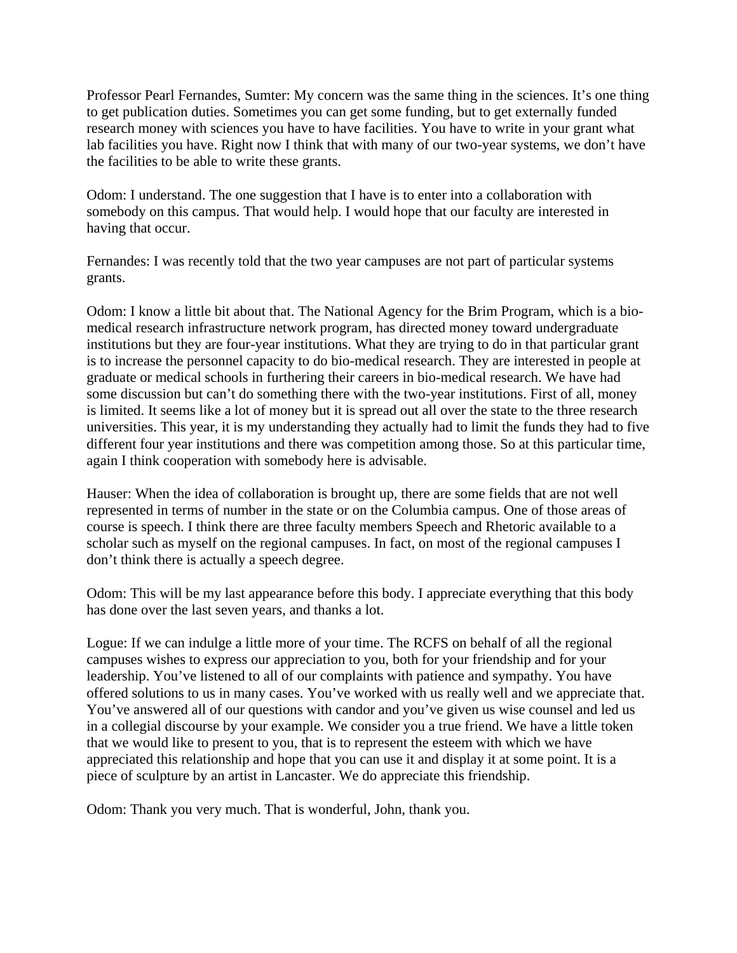Professor Pearl Fernandes, Sumter: My concern was the same thing in the sciences. It's one thing to get publication duties. Sometimes you can get some funding, but to get externally funded research money with sciences you have to have facilities. You have to write in your grant what lab facilities you have. Right now I think that with many of our two-year systems, we don't have the facilities to be able to write these grants.

Odom: I understand. The one suggestion that I have is to enter into a collaboration with somebody on this campus. That would help. I would hope that our faculty are interested in having that occur.

Fernandes: I was recently told that the two year campuses are not part of particular systems grants.

Odom: I know a little bit about that. The National Agency for the Brim Program, which is a biomedical research infrastructure network program, has directed money toward undergraduate institutions but they are four-year institutions. What they are trying to do in that particular grant is to increase the personnel capacity to do bio-medical research. They are interested in people at graduate or medical schools in furthering their careers in bio-medical research. We have had some discussion but can't do something there with the two-year institutions. First of all, money is limited. It seems like a lot of money but it is spread out all over the state to the three research universities. This year, it is my understanding they actually had to limit the funds they had to five different four year institutions and there was competition among those. So at this particular time, again I think cooperation with somebody here is advisable.

Hauser: When the idea of collaboration is brought up, there are some fields that are not well represented in terms of number in the state or on the Columbia campus. One of those areas of course is speech. I think there are three faculty members Speech and Rhetoric available to a scholar such as myself on the regional campuses. In fact, on most of the regional campuses I don't think there is actually a speech degree.

Odom: This will be my last appearance before this body. I appreciate everything that this body has done over the last seven years, and thanks a lot.

Logue: If we can indulge a little more of your time. The RCFS on behalf of all the regional campuses wishes to express our appreciation to you, both for your friendship and for your leadership. You've listened to all of our complaints with patience and sympathy. You have offered solutions to us in many cases. You've worked with us really well and we appreciate that. You've answered all of our questions with candor and you've given us wise counsel and led us in a collegial discourse by your example. We consider you a true friend. We have a little token that we would like to present to you, that is to represent the esteem with which we have appreciated this relationship and hope that you can use it and display it at some point. It is a piece of sculpture by an artist in Lancaster. We do appreciate this friendship.

Odom: Thank you very much. That is wonderful, John, thank you.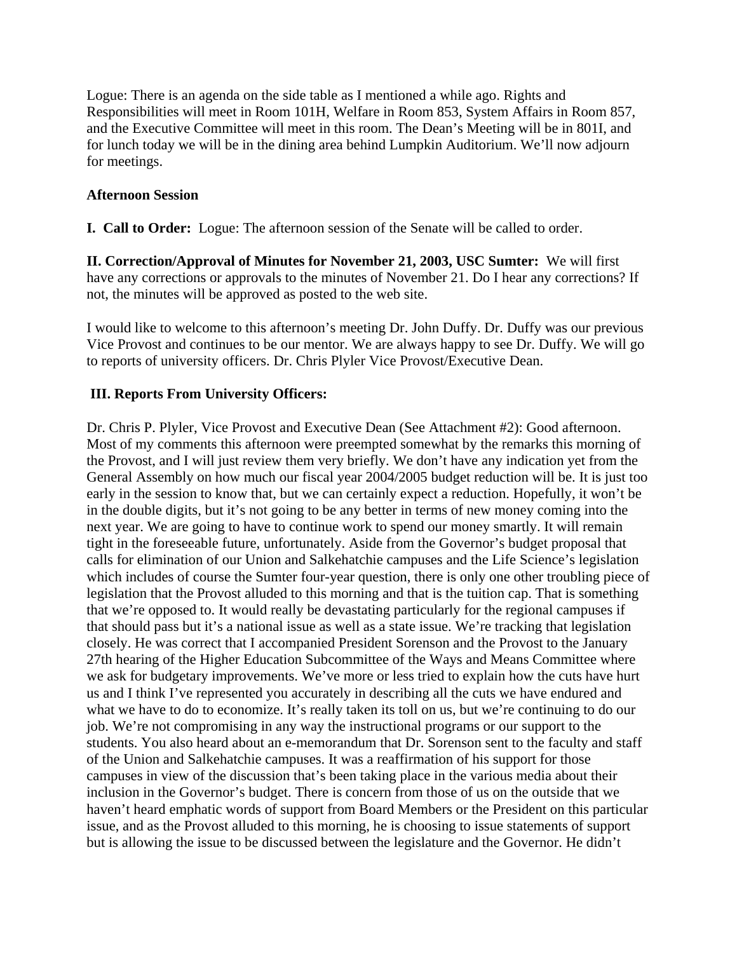Logue: There is an agenda on the side table as I mentioned a while ago. Rights and Responsibilities will meet in Room 101H, Welfare in Room 853, System Affairs in Room 857, and the Executive Committee will meet in this room. The Dean's Meeting will be in 801I, and for lunch today we will be in the dining area behind Lumpkin Auditorium. We'll now adjourn for meetings.

# **Afternoon Session**

**I. Call to Order:** Logue: The afternoon session of the Senate will be called to order.

**II. Correction/Approval of Minutes for November 21, 2003, USC Sumter:** We will first have any corrections or approvals to the minutes of November 21. Do I hear any corrections? If not, the minutes will be approved as posted to the web site.

I would like to welcome to this afternoon's meeting Dr. John Duffy. Dr. Duffy was our previous Vice Provost and continues to be our mentor. We are always happy to see Dr. Duffy. We will go to reports of university officers. Dr. Chris Plyler Vice Provost/Executive Dean.

# **III. Reports From University Officers:**

Dr. Chris P. Plyler, Vice Provost and Executive Dean (See Attachment #2): Good afternoon. Most of my comments this afternoon were preempted somewhat by the remarks this morning of the Provost, and I will just review them very briefly. We don't have any indication yet from the General Assembly on how much our fiscal year 2004/2005 budget reduction will be. It is just too early in the session to know that, but we can certainly expect a reduction. Hopefully, it won't be in the double digits, but it's not going to be any better in terms of new money coming into the next year. We are going to have to continue work to spend our money smartly. It will remain tight in the foreseeable future, unfortunately. Aside from the Governor's budget proposal that calls for elimination of our Union and Salkehatchie campuses and the Life Science's legislation which includes of course the Sumter four-year question, there is only one other troubling piece of legislation that the Provost alluded to this morning and that is the tuition cap. That is something that we're opposed to. It would really be devastating particularly for the regional campuses if that should pass but it's a national issue as well as a state issue. We're tracking that legislation closely. He was correct that I accompanied President Sorenson and the Provost to the January 27th hearing of the Higher Education Subcommittee of the Ways and Means Committee where we ask for budgetary improvements. We've more or less tried to explain how the cuts have hurt us and I think I've represented you accurately in describing all the cuts we have endured and what we have to do to economize. It's really taken its toll on us, but we're continuing to do our job. We're not compromising in any way the instructional programs or our support to the students. You also heard about an e-memorandum that Dr. Sorenson sent to the faculty and staff of the Union and Salkehatchie campuses. It was a reaffirmation of his support for those campuses in view of the discussion that's been taking place in the various media about their inclusion in the Governor's budget. There is concern from those of us on the outside that we haven't heard emphatic words of support from Board Members or the President on this particular issue, and as the Provost alluded to this morning, he is choosing to issue statements of support but is allowing the issue to be discussed between the legislature and the Governor. He didn't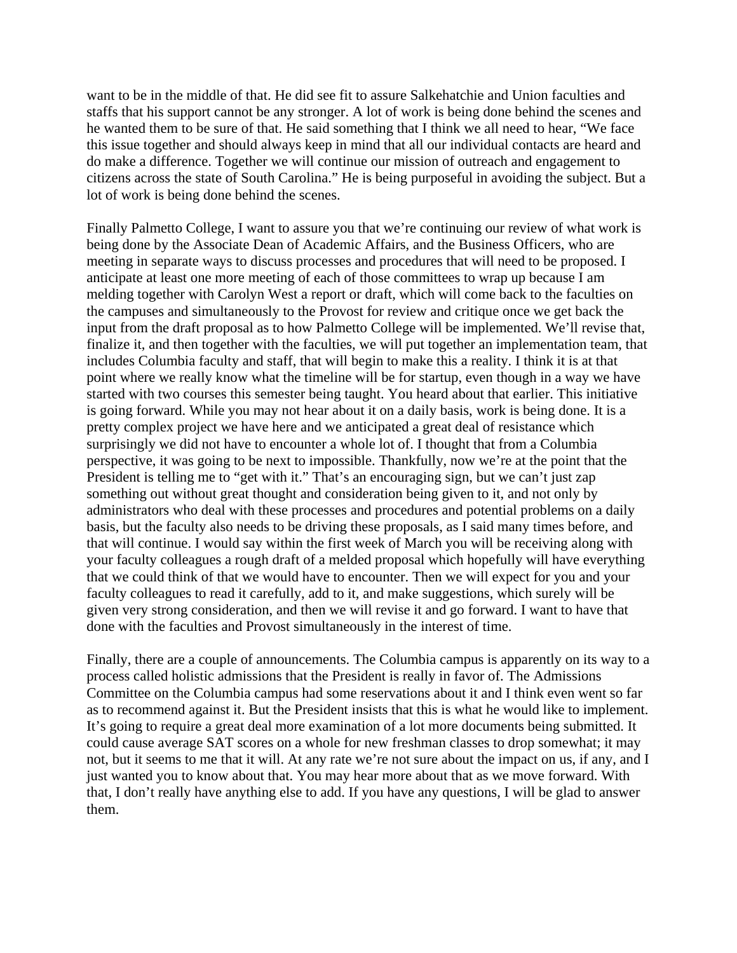want to be in the middle of that. He did see fit to assure Salkehatchie and Union faculties and staffs that his support cannot be any stronger. A lot of work is being done behind the scenes and he wanted them to be sure of that. He said something that I think we all need to hear, "We face this issue together and should always keep in mind that all our individual contacts are heard and do make a difference. Together we will continue our mission of outreach and engagement to citizens across the state of South Carolina." He is being purposeful in avoiding the subject. But a lot of work is being done behind the scenes.

Finally Palmetto College, I want to assure you that we're continuing our review of what work is being done by the Associate Dean of Academic Affairs, and the Business Officers, who are meeting in separate ways to discuss processes and procedures that will need to be proposed. I anticipate at least one more meeting of each of those committees to wrap up because I am melding together with Carolyn West a report or draft, which will come back to the faculties on the campuses and simultaneously to the Provost for review and critique once we get back the input from the draft proposal as to how Palmetto College will be implemented. We'll revise that, finalize it, and then together with the faculties, we will put together an implementation team, that includes Columbia faculty and staff, that will begin to make this a reality. I think it is at that point where we really know what the timeline will be for startup, even though in a way we have started with two courses this semester being taught. You heard about that earlier. This initiative is going forward. While you may not hear about it on a daily basis, work is being done. It is a pretty complex project we have here and we anticipated a great deal of resistance which surprisingly we did not have to encounter a whole lot of. I thought that from a Columbia perspective, it was going to be next to impossible. Thankfully, now we're at the point that the President is telling me to "get with it." That's an encouraging sign, but we can't just zap something out without great thought and consideration being given to it, and not only by administrators who deal with these processes and procedures and potential problems on a daily basis, but the faculty also needs to be driving these proposals, as I said many times before, and that will continue. I would say within the first week of March you will be receiving along with your faculty colleagues a rough draft of a melded proposal which hopefully will have everything that we could think of that we would have to encounter. Then we will expect for you and your faculty colleagues to read it carefully, add to it, and make suggestions, which surely will be given very strong consideration, and then we will revise it and go forward. I want to have that done with the faculties and Provost simultaneously in the interest of time.

Finally, there are a couple of announcements. The Columbia campus is apparently on its way to a process called holistic admissions that the President is really in favor of. The Admissions Committee on the Columbia campus had some reservations about it and I think even went so far as to recommend against it. But the President insists that this is what he would like to implement. It's going to require a great deal more examination of a lot more documents being submitted. It could cause average SAT scores on a whole for new freshman classes to drop somewhat; it may not, but it seems to me that it will. At any rate we're not sure about the impact on us, if any, and I just wanted you to know about that. You may hear more about that as we move forward. With that, I don't really have anything else to add. If you have any questions, I will be glad to answer them.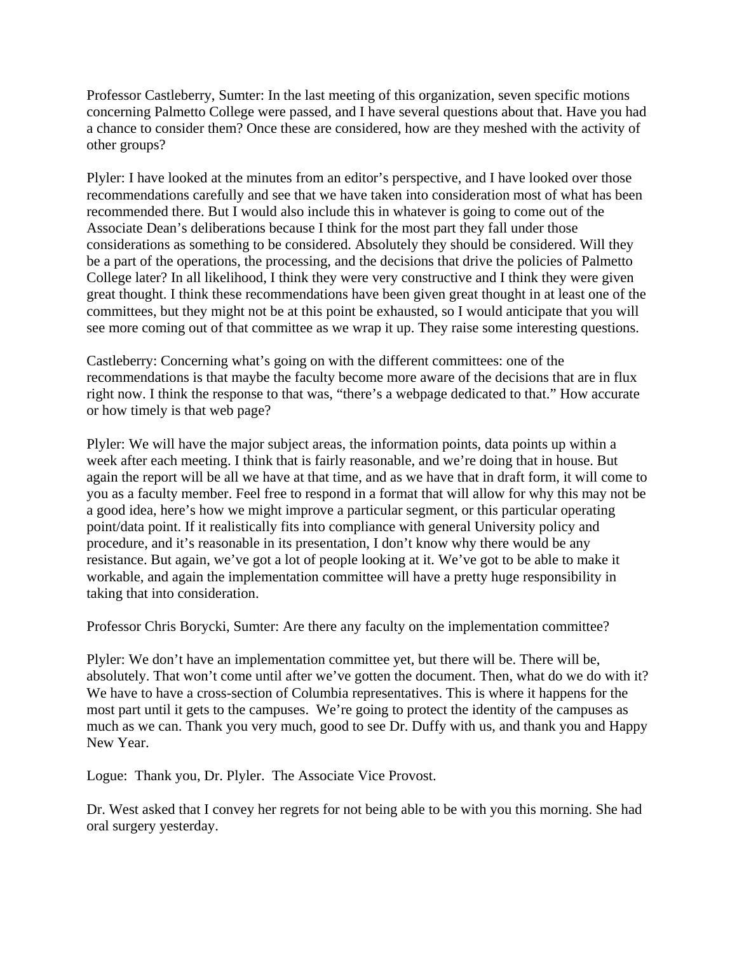Professor Castleberry, Sumter: In the last meeting of this organization, seven specific motions concerning Palmetto College were passed, and I have several questions about that. Have you had a chance to consider them? Once these are considered, how are they meshed with the activity of other groups?

Plyler: I have looked at the minutes from an editor's perspective, and I have looked over those recommendations carefully and see that we have taken into consideration most of what has been recommended there. But I would also include this in whatever is going to come out of the Associate Dean's deliberations because I think for the most part they fall under those considerations as something to be considered. Absolutely they should be considered. Will they be a part of the operations, the processing, and the decisions that drive the policies of Palmetto College later? In all likelihood, I think they were very constructive and I think they were given great thought. I think these recommendations have been given great thought in at least one of the committees, but they might not be at this point be exhausted, so I would anticipate that you will see more coming out of that committee as we wrap it up. They raise some interesting questions.

Castleberry: Concerning what's going on with the different committees: one of the recommendations is that maybe the faculty become more aware of the decisions that are in flux right now. I think the response to that was, "there's a webpage dedicated to that." How accurate or how timely is that web page?

Plyler: We will have the major subject areas, the information points, data points up within a week after each meeting. I think that is fairly reasonable, and we're doing that in house. But again the report will be all we have at that time, and as we have that in draft form, it will come to you as a faculty member. Feel free to respond in a format that will allow for why this may not be a good idea, here's how we might improve a particular segment, or this particular operating point/data point. If it realistically fits into compliance with general University policy and procedure, and it's reasonable in its presentation, I don't know why there would be any resistance. But again, we've got a lot of people looking at it. We've got to be able to make it workable, and again the implementation committee will have a pretty huge responsibility in taking that into consideration.

Professor Chris Borycki, Sumter: Are there any faculty on the implementation committee?

Plyler: We don't have an implementation committee yet, but there will be. There will be, absolutely. That won't come until after we've gotten the document. Then, what do we do with it? We have to have a cross-section of Columbia representatives. This is where it happens for the most part until it gets to the campuses. We're going to protect the identity of the campuses as much as we can. Thank you very much, good to see Dr. Duffy with us, and thank you and Happy New Year.

Logue: Thank you, Dr. Plyler. The Associate Vice Provost.

Dr. West asked that I convey her regrets for not being able to be with you this morning. She had oral surgery yesterday.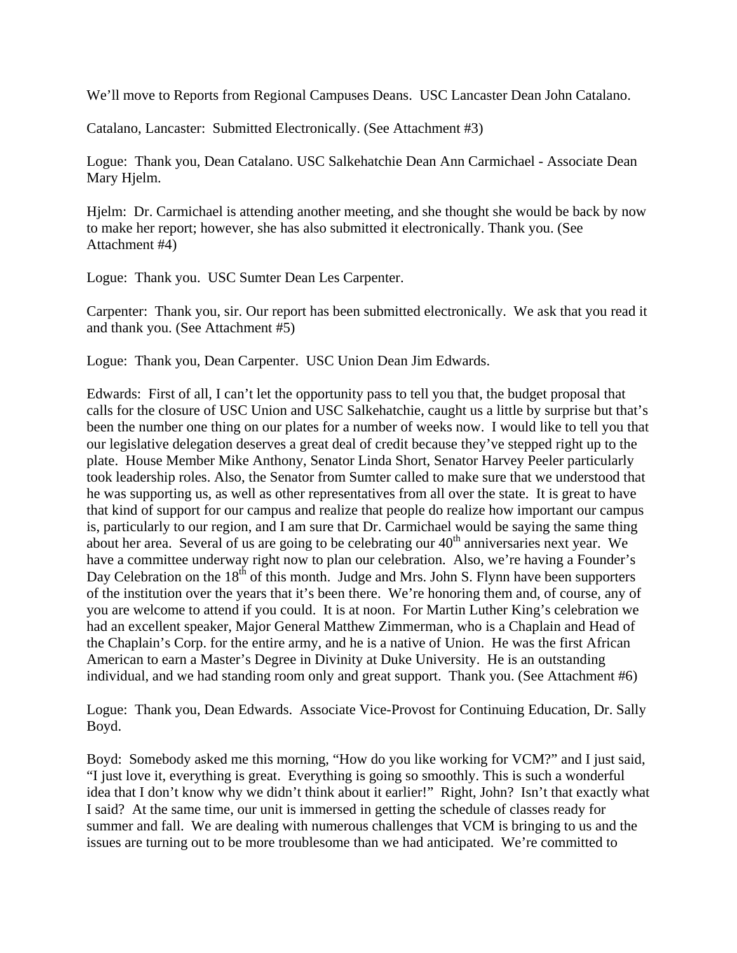We'll move to Reports from Regional Campuses Deans. USC Lancaster Dean John Catalano.

Catalano, Lancaster: Submitted Electronically. (See Attachment #3)

Logue: Thank you, Dean Catalano. USC Salkehatchie Dean Ann Carmichael - Associate Dean Mary Hjelm.

Hjelm: Dr. Carmichael is attending another meeting, and she thought she would be back by now to make her report; however, she has also submitted it electronically. Thank you. (See Attachment #4)

Logue: Thank you. USC Sumter Dean Les Carpenter.

Carpenter: Thank you, sir. Our report has been submitted electronically. We ask that you read it and thank you. (See Attachment #5)

Logue: Thank you, Dean Carpenter. USC Union Dean Jim Edwards.

Edwards: First of all, I can't let the opportunity pass to tell you that, the budget proposal that calls for the closure of USC Union and USC Salkehatchie, caught us a little by surprise but that's been the number one thing on our plates for a number of weeks now. I would like to tell you that our legislative delegation deserves a great deal of credit because they've stepped right up to the plate. House Member Mike Anthony, Senator Linda Short, Senator Harvey Peeler particularly took leadership roles. Also, the Senator from Sumter called to make sure that we understood that he was supporting us, as well as other representatives from all over the state. It is great to have that kind of support for our campus and realize that people do realize how important our campus is, particularly to our region, and I am sure that Dr. Carmichael would be saying the same thing about her area. Several of us are going to be celebrating our  $40<sup>th</sup>$  anniversaries next year. We have a committee underway right now to plan our celebration. Also, we're having a Founder's Day Celebration on the 18<sup>th</sup> of this month. Judge and Mrs. John S. Flynn have been supporters of the institution over the years that it's been there. We're honoring them and, of course, any of you are welcome to attend if you could. It is at noon. For Martin Luther King's celebration we had an excellent speaker, Major General Matthew Zimmerman, who is a Chaplain and Head of the Chaplain's Corp. for the entire army, and he is a native of Union. He was the first African American to earn a Master's Degree in Divinity at Duke University. He is an outstanding individual, and we had standing room only and great support. Thank you. (See Attachment #6)

Logue: Thank you, Dean Edwards. Associate Vice-Provost for Continuing Education, Dr. Sally Boyd.

Boyd: Somebody asked me this morning, "How do you like working for VCM?" and I just said, "I just love it, everything is great. Everything is going so smoothly. This is such a wonderful idea that I don't know why we didn't think about it earlier!" Right, John? Isn't that exactly what I said? At the same time, our unit is immersed in getting the schedule of classes ready for summer and fall. We are dealing with numerous challenges that VCM is bringing to us and the issues are turning out to be more troublesome than we had anticipated. We're committed to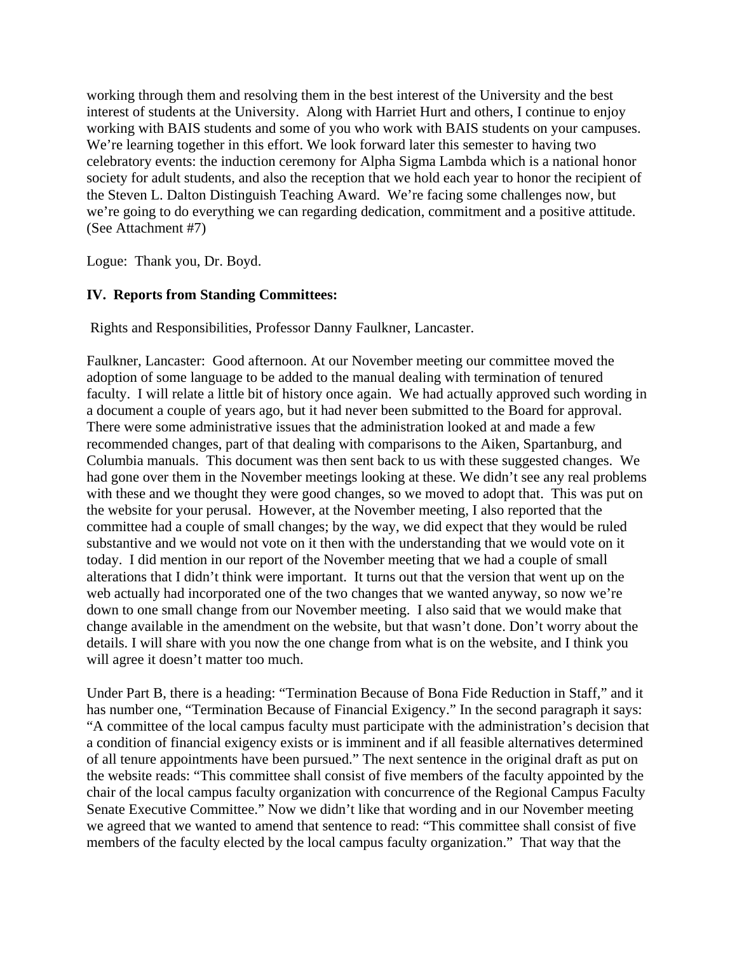working through them and resolving them in the best interest of the University and the best interest of students at the University. Along with Harriet Hurt and others, I continue to enjoy working with BAIS students and some of you who work with BAIS students on your campuses. We're learning together in this effort. We look forward later this semester to having two celebratory events: the induction ceremony for Alpha Sigma Lambda which is a national honor society for adult students, and also the reception that we hold each year to honor the recipient of the Steven L. Dalton Distinguish Teaching Award. We're facing some challenges now, but we're going to do everything we can regarding dedication, commitment and a positive attitude. (See Attachment #7)

Logue: Thank you, Dr. Boyd.

# **IV. Reports from Standing Committees:**

Rights and Responsibilities, Professor Danny Faulkner, Lancaster.

Faulkner, Lancaster: Good afternoon. At our November meeting our committee moved the adoption of some language to be added to the manual dealing with termination of tenured faculty. I will relate a little bit of history once again. We had actually approved such wording in a document a couple of years ago, but it had never been submitted to the Board for approval. There were some administrative issues that the administration looked at and made a few recommended changes, part of that dealing with comparisons to the Aiken, Spartanburg, and Columbia manuals. This document was then sent back to us with these suggested changes. We had gone over them in the November meetings looking at these. We didn't see any real problems with these and we thought they were good changes, so we moved to adopt that. This was put on the website for your perusal. However, at the November meeting, I also reported that the committee had a couple of small changes; by the way, we did expect that they would be ruled substantive and we would not vote on it then with the understanding that we would vote on it today. I did mention in our report of the November meeting that we had a couple of small alterations that I didn't think were important. It turns out that the version that went up on the web actually had incorporated one of the two changes that we wanted anyway, so now we're down to one small change from our November meeting. I also said that we would make that change available in the amendment on the website, but that wasn't done. Don't worry about the details. I will share with you now the one change from what is on the website, and I think you will agree it doesn't matter too much.

Under Part B, there is a heading: "Termination Because of Bona Fide Reduction in Staff," and it has number one, "Termination Because of Financial Exigency." In the second paragraph it says: "A committee of the local campus faculty must participate with the administration's decision that a condition of financial exigency exists or is imminent and if all feasible alternatives determined of all tenure appointments have been pursued." The next sentence in the original draft as put on the website reads: "This committee shall consist of five members of the faculty appointed by the chair of the local campus faculty organization with concurrence of the Regional Campus Faculty Senate Executive Committee." Now we didn't like that wording and in our November meeting we agreed that we wanted to amend that sentence to read: "This committee shall consist of five members of the faculty elected by the local campus faculty organization." That way that the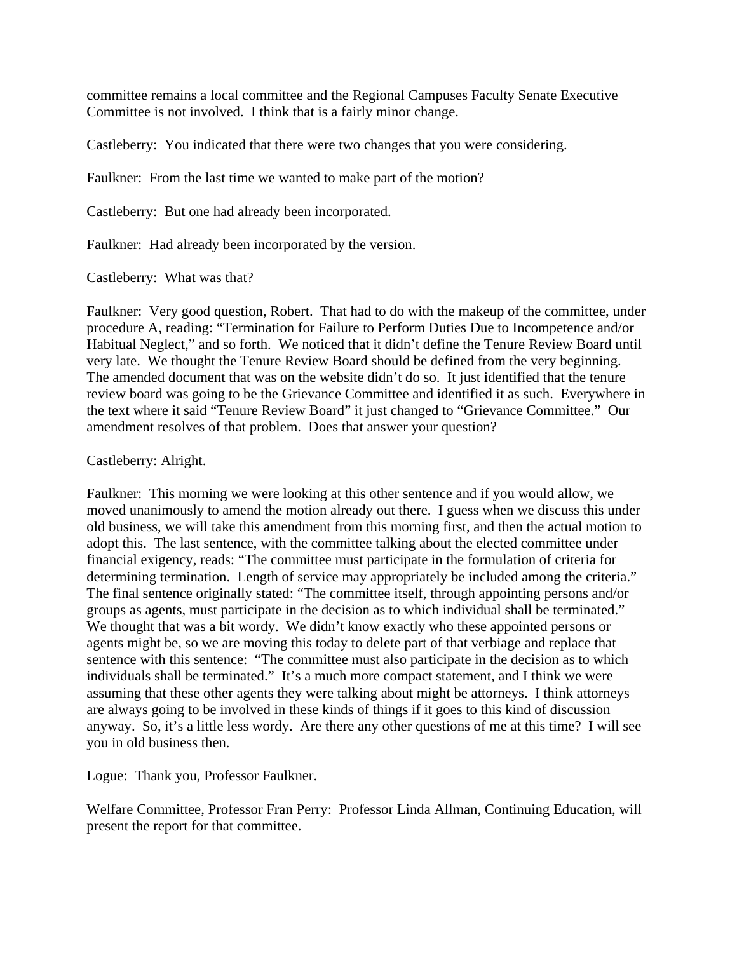committee remains a local committee and the Regional Campuses Faculty Senate Executive Committee is not involved. I think that is a fairly minor change.

Castleberry: You indicated that there were two changes that you were considering.

Faulkner: From the last time we wanted to make part of the motion?

Castleberry: But one had already been incorporated.

Faulkner: Had already been incorporated by the version.

Castleberry: What was that?

Faulkner: Very good question, Robert. That had to do with the makeup of the committee, under procedure A, reading: "Termination for Failure to Perform Duties Due to Incompetence and/or Habitual Neglect," and so forth. We noticed that it didn't define the Tenure Review Board until very late. We thought the Tenure Review Board should be defined from the very beginning. The amended document that was on the website didn't do so. It just identified that the tenure review board was going to be the Grievance Committee and identified it as such. Everywhere in the text where it said "Tenure Review Board" it just changed to "Grievance Committee." Our amendment resolves of that problem. Does that answer your question?

## Castleberry: Alright.

Faulkner: This morning we were looking at this other sentence and if you would allow, we moved unanimously to amend the motion already out there. I guess when we discuss this under old business, we will take this amendment from this morning first, and then the actual motion to adopt this. The last sentence, with the committee talking about the elected committee under financial exigency, reads: "The committee must participate in the formulation of criteria for determining termination. Length of service may appropriately be included among the criteria." The final sentence originally stated: "The committee itself, through appointing persons and/or groups as agents, must participate in the decision as to which individual shall be terminated." We thought that was a bit wordy. We didn't know exactly who these appointed persons or agents might be, so we are moving this today to delete part of that verbiage and replace that sentence with this sentence: "The committee must also participate in the decision as to which individuals shall be terminated." It's a much more compact statement, and I think we were assuming that these other agents they were talking about might be attorneys. I think attorneys are always going to be involved in these kinds of things if it goes to this kind of discussion anyway. So, it's a little less wordy. Are there any other questions of me at this time? I will see you in old business then.

Logue: Thank you, Professor Faulkner.

Welfare Committee, Professor Fran Perry: Professor Linda Allman, Continuing Education, will present the report for that committee.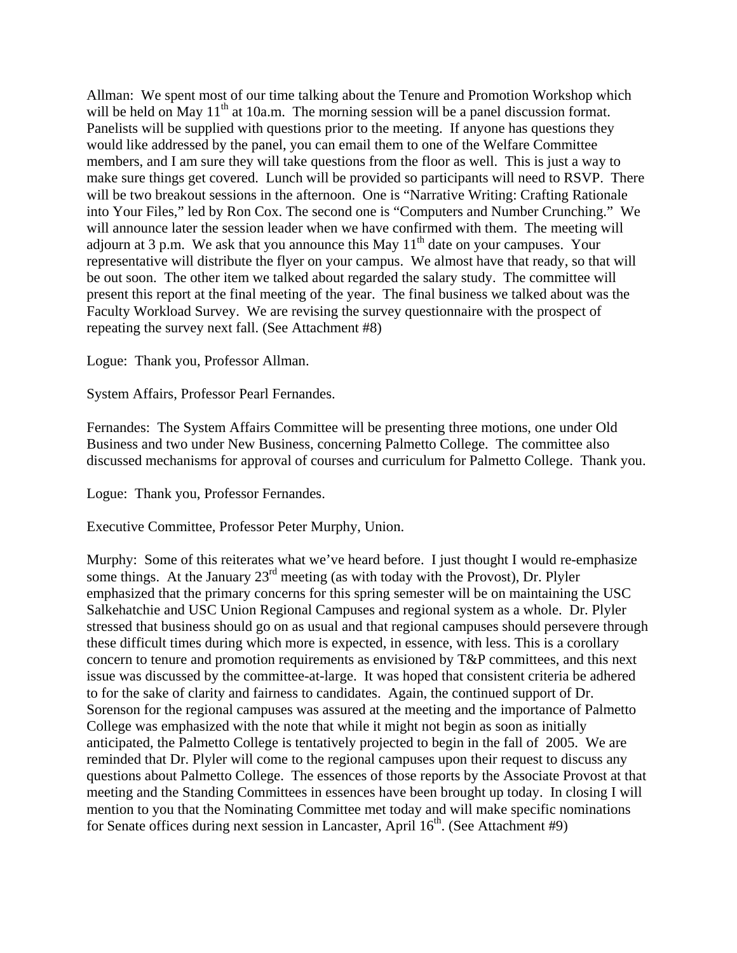Allman: We spent most of our time talking about the Tenure and Promotion Workshop which will be held on May  $11<sup>th</sup>$  at 10a.m. The morning session will be a panel discussion format. Panelists will be supplied with questions prior to the meeting. If anyone has questions they would like addressed by the panel, you can email them to one of the Welfare Committee members, and I am sure they will take questions from the floor as well. This is just a way to make sure things get covered. Lunch will be provided so participants will need to RSVP. There will be two breakout sessions in the afternoon. One is "Narrative Writing: Crafting Rationale into Your Files," led by Ron Cox. The second one is "Computers and Number Crunching." We will announce later the session leader when we have confirmed with them. The meeting will adjourn at 3 p.m. We ask that you announce this May  $11<sup>th</sup>$  date on your campuses. Your representative will distribute the flyer on your campus. We almost have that ready, so that will be out soon. The other item we talked about regarded the salary study. The committee will present this report at the final meeting of the year. The final business we talked about was the Faculty Workload Survey. We are revising the survey questionnaire with the prospect of repeating the survey next fall. (See Attachment #8)

Logue: Thank you, Professor Allman.

System Affairs, Professor Pearl Fernandes.

Fernandes: The System Affairs Committee will be presenting three motions, one under Old Business and two under New Business, concerning Palmetto College. The committee also discussed mechanisms for approval of courses and curriculum for Palmetto College. Thank you.

Logue: Thank you, Professor Fernandes.

Executive Committee, Professor Peter Murphy, Union.

Murphy: Some of this reiterates what we've heard before. I just thought I would re-emphasize some things. At the January  $23<sup>rd</sup>$  meeting (as with today with the Provost), Dr. Plyler emphasized that the primary concerns for this spring semester will be on maintaining the USC Salkehatchie and USC Union Regional Campuses and regional system as a whole. Dr. Plyler stressed that business should go on as usual and that regional campuses should persevere through these difficult times during which more is expected, in essence, with less. This is a corollary concern to tenure and promotion requirements as envisioned by T&P committees, and this next issue was discussed by the committee-at-large. It was hoped that consistent criteria be adhered to for the sake of clarity and fairness to candidates. Again, the continued support of Dr. Sorenson for the regional campuses was assured at the meeting and the importance of Palmetto College was emphasized with the note that while it might not begin as soon as initially anticipated, the Palmetto College is tentatively projected to begin in the fall of 2005. We are reminded that Dr. Plyler will come to the regional campuses upon their request to discuss any questions about Palmetto College. The essences of those reports by the Associate Provost at that meeting and the Standing Committees in essences have been brought up today. In closing I will mention to you that the Nominating Committee met today and will make specific nominations for Senate offices during next session in Lancaster, April  $16<sup>th</sup>$ . (See Attachment #9)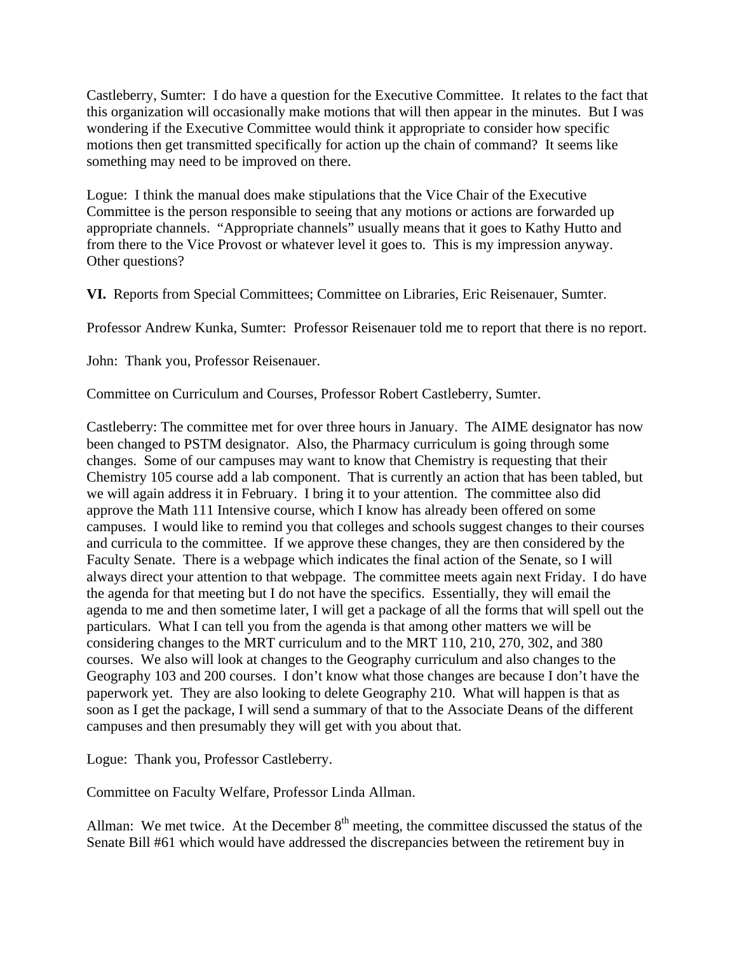Castleberry, Sumter: I do have a question for the Executive Committee. It relates to the fact that this organization will occasionally make motions that will then appear in the minutes. But I was wondering if the Executive Committee would think it appropriate to consider how specific motions then get transmitted specifically for action up the chain of command? It seems like something may need to be improved on there.

Logue: I think the manual does make stipulations that the Vice Chair of the Executive Committee is the person responsible to seeing that any motions or actions are forwarded up appropriate channels. "Appropriate channels" usually means that it goes to Kathy Hutto and from there to the Vice Provost or whatever level it goes to. This is my impression anyway. Other questions?

**VI.** Reports from Special Committees; Committee on Libraries, Eric Reisenauer, Sumter.

Professor Andrew Kunka, Sumter: Professor Reisenauer told me to report that there is no report.

John: Thank you, Professor Reisenauer.

Committee on Curriculum and Courses, Professor Robert Castleberry, Sumter.

Castleberry: The committee met for over three hours in January. The AIME designator has now been changed to PSTM designator. Also, the Pharmacy curriculum is going through some changes. Some of our campuses may want to know that Chemistry is requesting that their Chemistry 105 course add a lab component. That is currently an action that has been tabled, but we will again address it in February. I bring it to your attention. The committee also did approve the Math 111 Intensive course, which I know has already been offered on some campuses. I would like to remind you that colleges and schools suggest changes to their courses and curricula to the committee. If we approve these changes, they are then considered by the Faculty Senate. There is a webpage which indicates the final action of the Senate, so I will always direct your attention to that webpage. The committee meets again next Friday. I do have the agenda for that meeting but I do not have the specifics. Essentially, they will email the agenda to me and then sometime later, I will get a package of all the forms that will spell out the particulars. What I can tell you from the agenda is that among other matters we will be considering changes to the MRT curriculum and to the MRT 110, 210, 270, 302, and 380 courses. We also will look at changes to the Geography curriculum and also changes to the Geography 103 and 200 courses. I don't know what those changes are because I don't have the paperwork yet. They are also looking to delete Geography 210. What will happen is that as soon as I get the package, I will send a summary of that to the Associate Deans of the different campuses and then presumably they will get with you about that.

Logue: Thank you, Professor Castleberry.

Committee on Faculty Welfare, Professor Linda Allman.

Allman: We met twice. At the December  $8<sup>th</sup>$  meeting, the committee discussed the status of the Senate Bill #61 which would have addressed the discrepancies between the retirement buy in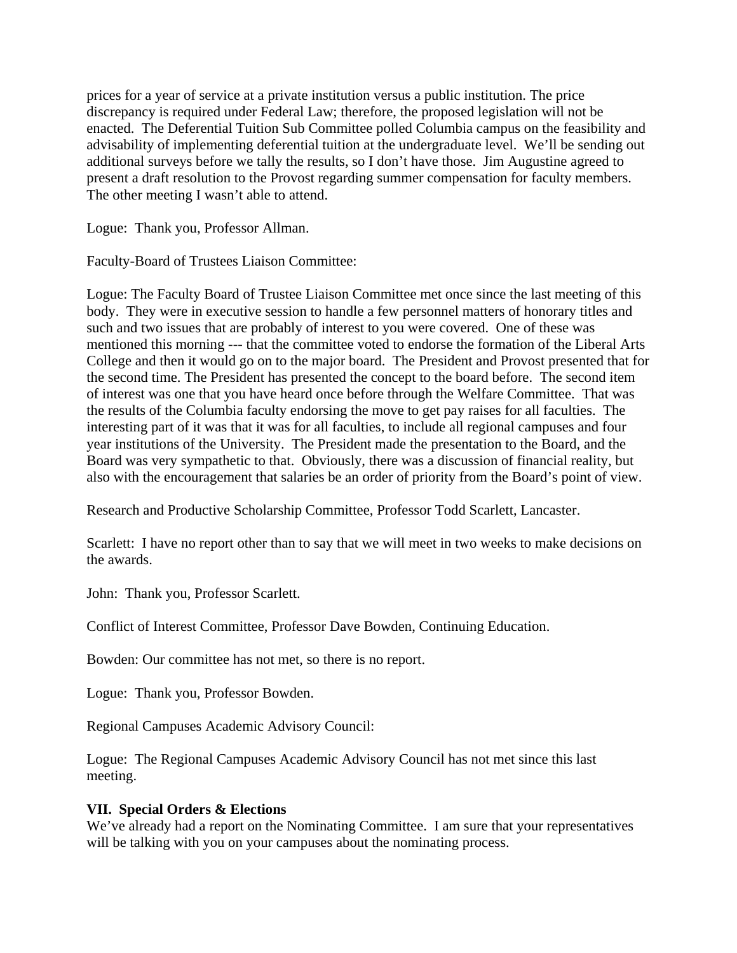prices for a year of service at a private institution versus a public institution. The price discrepancy is required under Federal Law; therefore, the proposed legislation will not be enacted. The Deferential Tuition Sub Committee polled Columbia campus on the feasibility and advisability of implementing deferential tuition at the undergraduate level. We'll be sending out additional surveys before we tally the results, so I don't have those. Jim Augustine agreed to present a draft resolution to the Provost regarding summer compensation for faculty members. The other meeting I wasn't able to attend.

Logue: Thank you, Professor Allman.

Faculty-Board of Trustees Liaison Committee:

Logue: The Faculty Board of Trustee Liaison Committee met once since the last meeting of this body. They were in executive session to handle a few personnel matters of honorary titles and such and two issues that are probably of interest to you were covered. One of these was mentioned this morning --- that the committee voted to endorse the formation of the Liberal Arts College and then it would go on to the major board. The President and Provost presented that for the second time. The President has presented the concept to the board before. The second item of interest was one that you have heard once before through the Welfare Committee. That was the results of the Columbia faculty endorsing the move to get pay raises for all faculties. The interesting part of it was that it was for all faculties, to include all regional campuses and four year institutions of the University. The President made the presentation to the Board, and the Board was very sympathetic to that. Obviously, there was a discussion of financial reality, but also with the encouragement that salaries be an order of priority from the Board's point of view.

Research and Productive Scholarship Committee, Professor Todd Scarlett, Lancaster.

Scarlett: I have no report other than to say that we will meet in two weeks to make decisions on the awards.

John: Thank you, Professor Scarlett.

Conflict of Interest Committee, Professor Dave Bowden, Continuing Education.

Bowden: Our committee has not met, so there is no report.

Logue: Thank you, Professor Bowden.

Regional Campuses Academic Advisory Council:

Logue: The Regional Campuses Academic Advisory Council has not met since this last meeting.

#### **VII. Special Orders & Elections**

We've already had a report on the Nominating Committee. I am sure that your representatives will be talking with you on your campuses about the nominating process.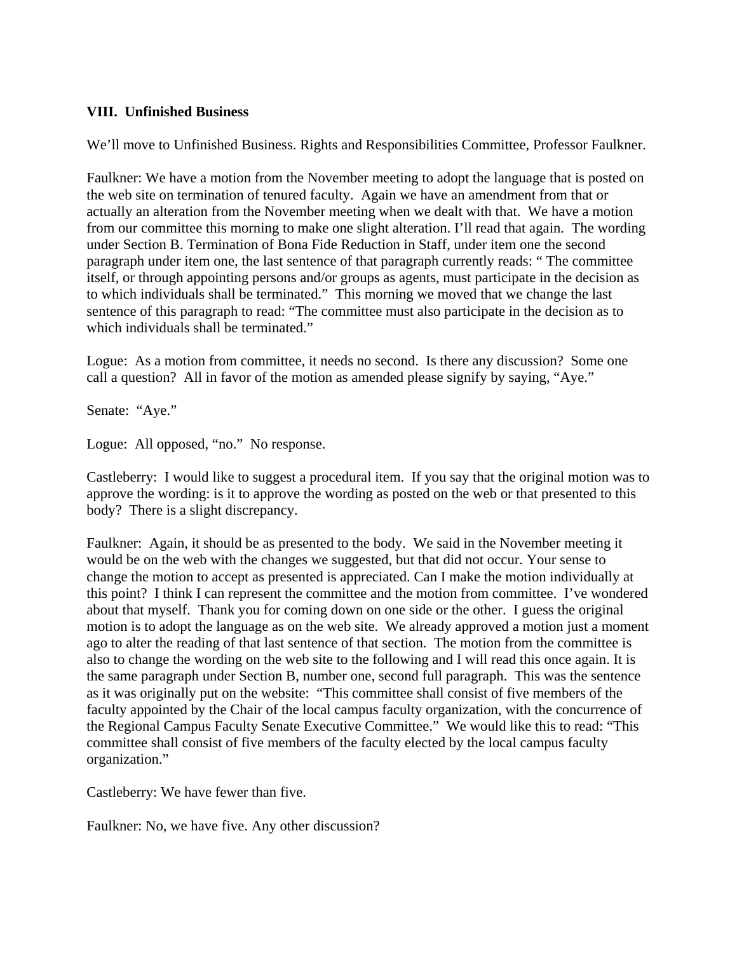## **VIII. Unfinished Business**

We'll move to Unfinished Business. Rights and Responsibilities Committee, Professor Faulkner.

Faulkner: We have a motion from the November meeting to adopt the language that is posted on the web site on termination of tenured faculty. Again we have an amendment from that or actually an alteration from the November meeting when we dealt with that. We have a motion from our committee this morning to make one slight alteration. I'll read that again. The wording under Section B. Termination of Bona Fide Reduction in Staff, under item one the second paragraph under item one, the last sentence of that paragraph currently reads: " The committee itself, or through appointing persons and/or groups as agents, must participate in the decision as to which individuals shall be terminated." This morning we moved that we change the last sentence of this paragraph to read: "The committee must also participate in the decision as to which individuals shall be terminated."

Logue: As a motion from committee, it needs no second. Is there any discussion? Some one call a question? All in favor of the motion as amended please signify by saying, "Aye."

Senate: "Aye."

Logue: All opposed, "no." No response.

Castleberry: I would like to suggest a procedural item. If you say that the original motion was to approve the wording: is it to approve the wording as posted on the web or that presented to this body? There is a slight discrepancy.

Faulkner: Again, it should be as presented to the body. We said in the November meeting it would be on the web with the changes we suggested, but that did not occur. Your sense to change the motion to accept as presented is appreciated. Can I make the motion individually at this point? I think I can represent the committee and the motion from committee. I've wondered about that myself. Thank you for coming down on one side or the other. I guess the original motion is to adopt the language as on the web site. We already approved a motion just a moment ago to alter the reading of that last sentence of that section. The motion from the committee is also to change the wording on the web site to the following and I will read this once again. It is the same paragraph under Section B, number one, second full paragraph. This was the sentence as it was originally put on the website: "This committee shall consist of five members of the faculty appointed by the Chair of the local campus faculty organization, with the concurrence of the Regional Campus Faculty Senate Executive Committee." We would like this to read: "This committee shall consist of five members of the faculty elected by the local campus faculty organization."

Castleberry: We have fewer than five.

Faulkner: No, we have five. Any other discussion?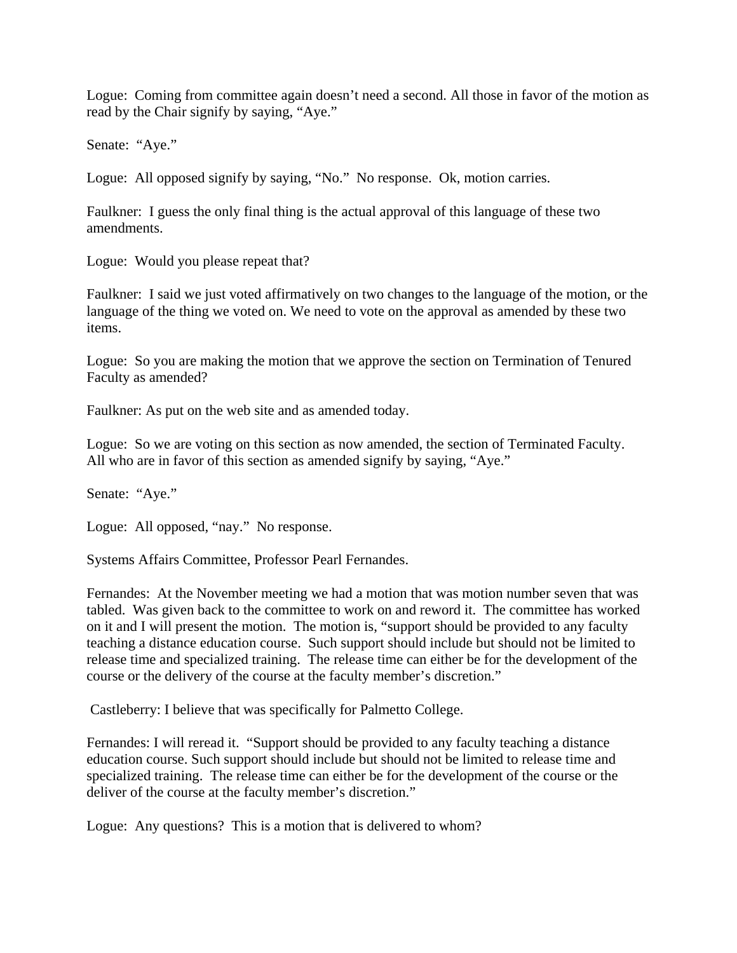Logue: Coming from committee again doesn't need a second. All those in favor of the motion as read by the Chair signify by saying, "Aye."

Senate: "Aye."

Logue: All opposed signify by saying, "No." No response. Ok, motion carries.

Faulkner: I guess the only final thing is the actual approval of this language of these two amendments.

Logue: Would you please repeat that?

Faulkner: I said we just voted affirmatively on two changes to the language of the motion, or the language of the thing we voted on. We need to vote on the approval as amended by these two items.

Logue: So you are making the motion that we approve the section on Termination of Tenured Faculty as amended?

Faulkner: As put on the web site and as amended today.

Logue: So we are voting on this section as now amended, the section of Terminated Faculty. All who are in favor of this section as amended signify by saying, "Aye."

Senate: "Aye."

Logue: All opposed, "nay." No response.

Systems Affairs Committee, Professor Pearl Fernandes.

Fernandes: At the November meeting we had a motion that was motion number seven that was tabled. Was given back to the committee to work on and reword it. The committee has worked on it and I will present the motion. The motion is, "support should be provided to any faculty teaching a distance education course. Such support should include but should not be limited to release time and specialized training. The release time can either be for the development of the course or the delivery of the course at the faculty member's discretion."

Castleberry: I believe that was specifically for Palmetto College.

Fernandes: I will reread it. "Support should be provided to any faculty teaching a distance education course. Such support should include but should not be limited to release time and specialized training. The release time can either be for the development of the course or the deliver of the course at the faculty member's discretion."

Logue: Any questions? This is a motion that is delivered to whom?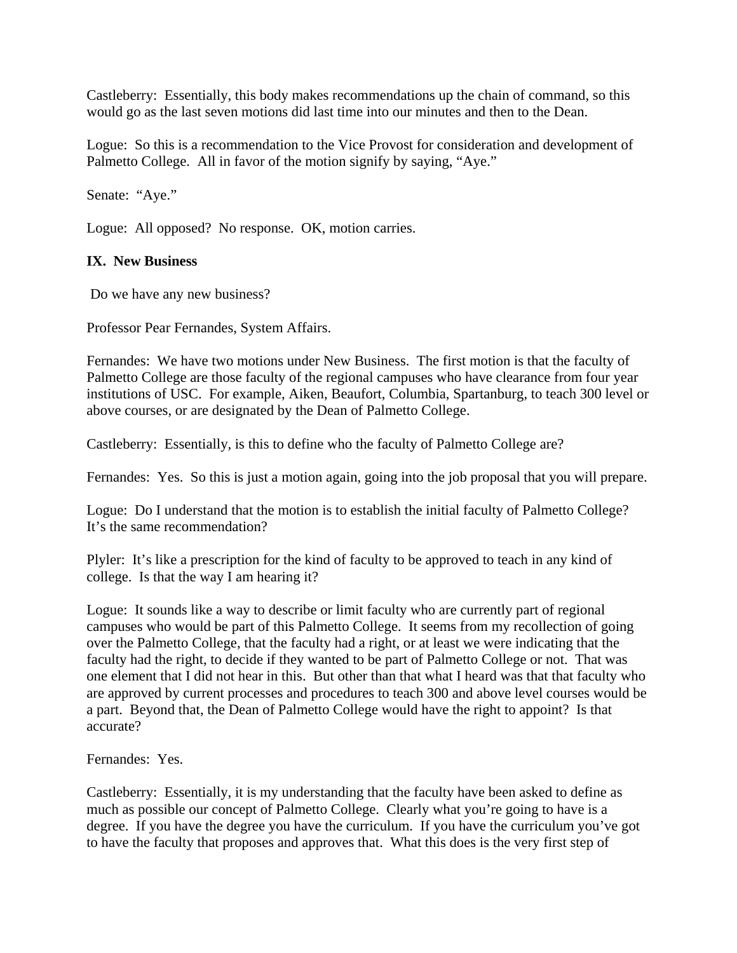Castleberry: Essentially, this body makes recommendations up the chain of command, so this would go as the last seven motions did last time into our minutes and then to the Dean.

Logue: So this is a recommendation to the Vice Provost for consideration and development of Palmetto College. All in favor of the motion signify by saying, "Aye."

Senate: "Aye."

Logue: All opposed? No response. OK, motion carries.

## **IX. New Business**

Do we have any new business?

Professor Pear Fernandes, System Affairs.

Fernandes: We have two motions under New Business. The first motion is that the faculty of Palmetto College are those faculty of the regional campuses who have clearance from four year institutions of USC. For example, Aiken, Beaufort, Columbia, Spartanburg, to teach 300 level or above courses, or are designated by the Dean of Palmetto College.

Castleberry: Essentially, is this to define who the faculty of Palmetto College are?

Fernandes: Yes. So this is just a motion again, going into the job proposal that you will prepare.

Logue: Do I understand that the motion is to establish the initial faculty of Palmetto College? It's the same recommendation?

Plyler: It's like a prescription for the kind of faculty to be approved to teach in any kind of college. Is that the way I am hearing it?

Logue: It sounds like a way to describe or limit faculty who are currently part of regional campuses who would be part of this Palmetto College. It seems from my recollection of going over the Palmetto College, that the faculty had a right, or at least we were indicating that the faculty had the right, to decide if they wanted to be part of Palmetto College or not. That was one element that I did not hear in this. But other than that what I heard was that that faculty who are approved by current processes and procedures to teach 300 and above level courses would be a part. Beyond that, the Dean of Palmetto College would have the right to appoint? Is that accurate?

Fernandes: Yes.

Castleberry: Essentially, it is my understanding that the faculty have been asked to define as much as possible our concept of Palmetto College. Clearly what you're going to have is a degree. If you have the degree you have the curriculum. If you have the curriculum you've got to have the faculty that proposes and approves that. What this does is the very first step of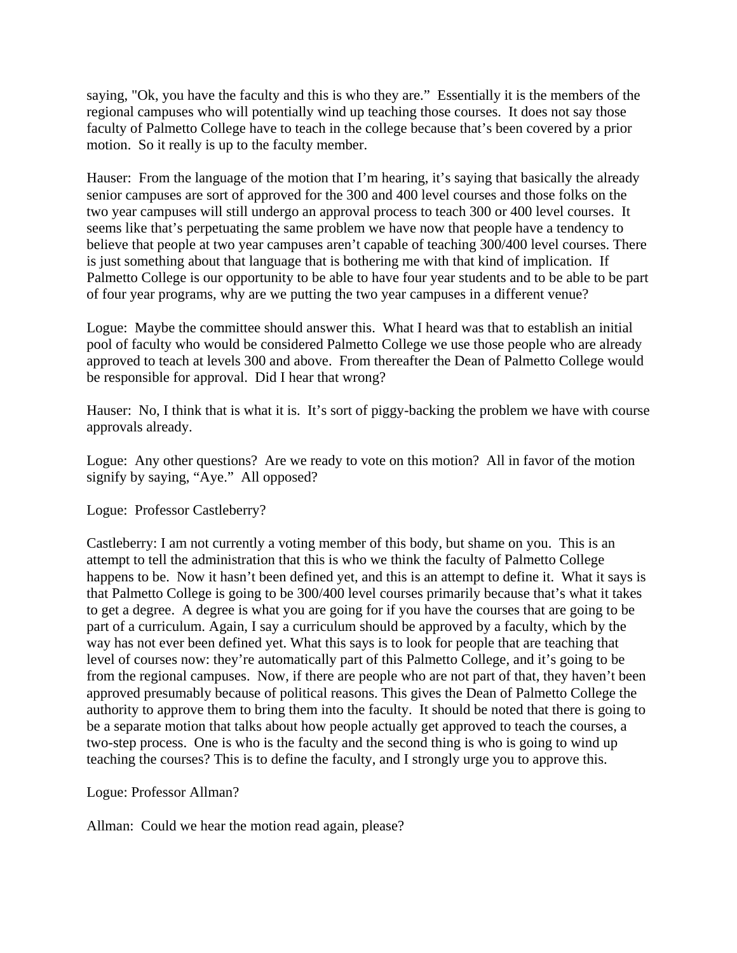saying, "Ok, you have the faculty and this is who they are." Essentially it is the members of the regional campuses who will potentially wind up teaching those courses. It does not say those faculty of Palmetto College have to teach in the college because that's been covered by a prior motion. So it really is up to the faculty member.

Hauser: From the language of the motion that I'm hearing, it's saying that basically the already senior campuses are sort of approved for the 300 and 400 level courses and those folks on the two year campuses will still undergo an approval process to teach 300 or 400 level courses. It seems like that's perpetuating the same problem we have now that people have a tendency to believe that people at two year campuses aren't capable of teaching 300/400 level courses. There is just something about that language that is bothering me with that kind of implication. If Palmetto College is our opportunity to be able to have four year students and to be able to be part of four year programs, why are we putting the two year campuses in a different venue?

Logue: Maybe the committee should answer this. What I heard was that to establish an initial pool of faculty who would be considered Palmetto College we use those people who are already approved to teach at levels 300 and above. From thereafter the Dean of Palmetto College would be responsible for approval. Did I hear that wrong?

Hauser: No, I think that is what it is. It's sort of piggy-backing the problem we have with course approvals already.

Logue: Any other questions? Are we ready to vote on this motion? All in favor of the motion signify by saying, "Aye." All opposed?

Logue: Professor Castleberry?

Castleberry: I am not currently a voting member of this body, but shame on you. This is an attempt to tell the administration that this is who we think the faculty of Palmetto College happens to be. Now it hasn't been defined yet, and this is an attempt to define it. What it says is that Palmetto College is going to be 300/400 level courses primarily because that's what it takes to get a degree. A degree is what you are going for if you have the courses that are going to be part of a curriculum. Again, I say a curriculum should be approved by a faculty, which by the way has not ever been defined yet. What this says is to look for people that are teaching that level of courses now: they're automatically part of this Palmetto College, and it's going to be from the regional campuses. Now, if there are people who are not part of that, they haven't been approved presumably because of political reasons. This gives the Dean of Palmetto College the authority to approve them to bring them into the faculty. It should be noted that there is going to be a separate motion that talks about how people actually get approved to teach the courses, a two-step process. One is who is the faculty and the second thing is who is going to wind up teaching the courses? This is to define the faculty, and I strongly urge you to approve this.

Logue: Professor Allman?

Allman: Could we hear the motion read again, please?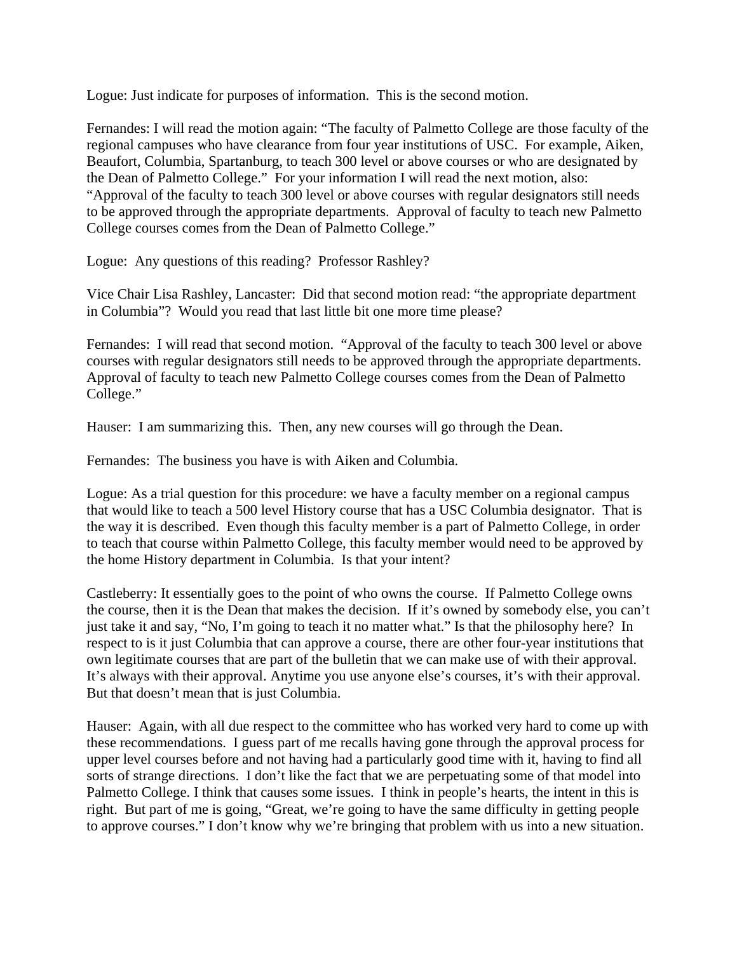Logue: Just indicate for purposes of information. This is the second motion.

Fernandes: I will read the motion again: "The faculty of Palmetto College are those faculty of the regional campuses who have clearance from four year institutions of USC. For example, Aiken, Beaufort, Columbia, Spartanburg, to teach 300 level or above courses or who are designated by the Dean of Palmetto College." For your information I will read the next motion, also: "Approval of the faculty to teach 300 level or above courses with regular designators still needs to be approved through the appropriate departments. Approval of faculty to teach new Palmetto College courses comes from the Dean of Palmetto College."

Logue: Any questions of this reading? Professor Rashley?

Vice Chair Lisa Rashley, Lancaster: Did that second motion read: "the appropriate department in Columbia"? Would you read that last little bit one more time please?

Fernandes: I will read that second motion. "Approval of the faculty to teach 300 level or above courses with regular designators still needs to be approved through the appropriate departments. Approval of faculty to teach new Palmetto College courses comes from the Dean of Palmetto College."

Hauser: I am summarizing this. Then, any new courses will go through the Dean.

Fernandes: The business you have is with Aiken and Columbia.

Logue: As a trial question for this procedure: we have a faculty member on a regional campus that would like to teach a 500 level History course that has a USC Columbia designator. That is the way it is described. Even though this faculty member is a part of Palmetto College, in order to teach that course within Palmetto College, this faculty member would need to be approved by the home History department in Columbia. Is that your intent?

Castleberry: It essentially goes to the point of who owns the course. If Palmetto College owns the course, then it is the Dean that makes the decision. If it's owned by somebody else, you can't just take it and say, "No, I'm going to teach it no matter what." Is that the philosophy here? In respect to is it just Columbia that can approve a course, there are other four-year institutions that own legitimate courses that are part of the bulletin that we can make use of with their approval. It's always with their approval. Anytime you use anyone else's courses, it's with their approval. But that doesn't mean that is just Columbia.

Hauser: Again, with all due respect to the committee who has worked very hard to come up with these recommendations. I guess part of me recalls having gone through the approval process for upper level courses before and not having had a particularly good time with it, having to find all sorts of strange directions. I don't like the fact that we are perpetuating some of that model into Palmetto College. I think that causes some issues. I think in people's hearts, the intent in this is right. But part of me is going, "Great, we're going to have the same difficulty in getting people to approve courses." I don't know why we're bringing that problem with us into a new situation.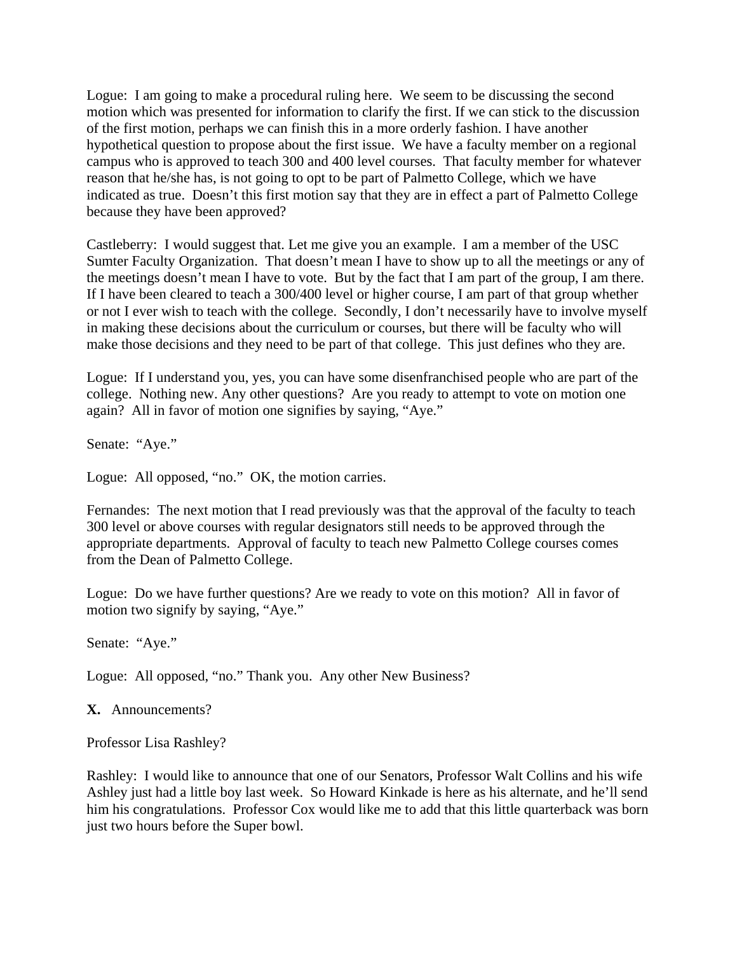Logue: I am going to make a procedural ruling here. We seem to be discussing the second motion which was presented for information to clarify the first. If we can stick to the discussion of the first motion, perhaps we can finish this in a more orderly fashion. I have another hypothetical question to propose about the first issue. We have a faculty member on a regional campus who is approved to teach 300 and 400 level courses. That faculty member for whatever reason that he/she has, is not going to opt to be part of Palmetto College, which we have indicated as true. Doesn't this first motion say that they are in effect a part of Palmetto College because they have been approved?

Castleberry: I would suggest that. Let me give you an example. I am a member of the USC Sumter Faculty Organization. That doesn't mean I have to show up to all the meetings or any of the meetings doesn't mean I have to vote. But by the fact that I am part of the group, I am there. If I have been cleared to teach a 300/400 level or higher course, I am part of that group whether or not I ever wish to teach with the college. Secondly, I don't necessarily have to involve myself in making these decisions about the curriculum or courses, but there will be faculty who will make those decisions and they need to be part of that college. This just defines who they are.

Logue: If I understand you, yes, you can have some disenfranchised people who are part of the college. Nothing new. Any other questions? Are you ready to attempt to vote on motion one again? All in favor of motion one signifies by saying, "Aye."

Senate: "Aye."

Logue: All opposed, "no." OK, the motion carries.

Fernandes: The next motion that I read previously was that the approval of the faculty to teach 300 level or above courses with regular designators still needs to be approved through the appropriate departments. Approval of faculty to teach new Palmetto College courses comes from the Dean of Palmetto College.

Logue: Do we have further questions? Are we ready to vote on this motion? All in favor of motion two signify by saying, "Aye."

Senate: "Aye."

Logue: All opposed, "no." Thank you. Any other New Business?

**X.** Announcements?

Professor Lisa Rashley?

Rashley: I would like to announce that one of our Senators, Professor Walt Collins and his wife Ashley just had a little boy last week. So Howard Kinkade is here as his alternate, and he'll send him his congratulations. Professor Cox would like me to add that this little quarterback was born just two hours before the Super bowl.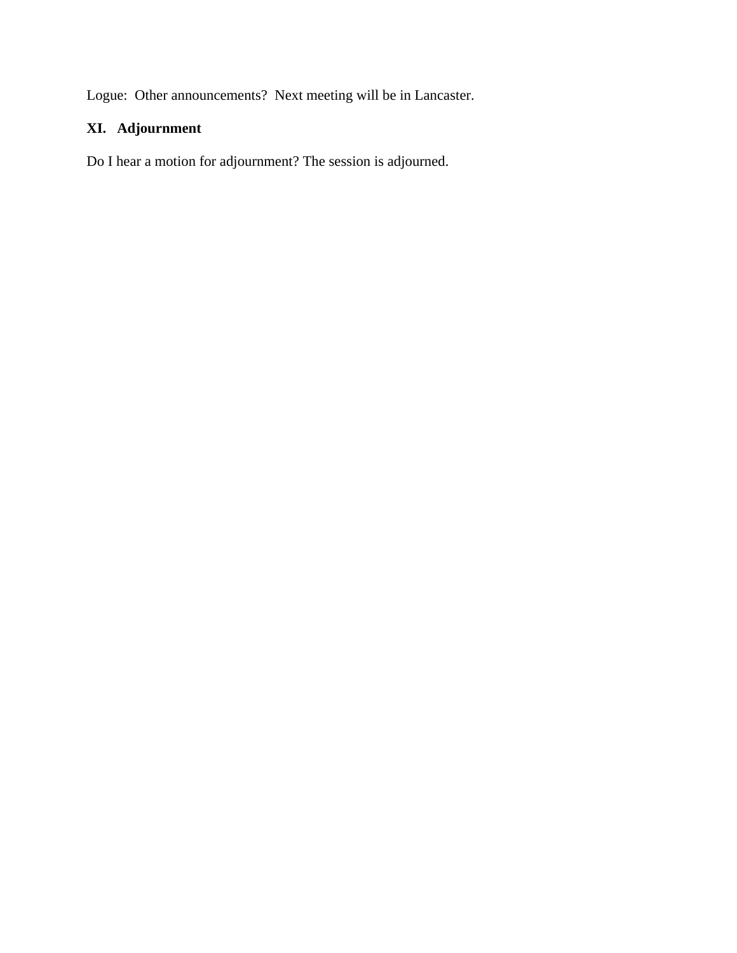Logue: Other announcements? Next meeting will be in Lancaster.

# **XI. Adjournment**

Do I hear a motion for adjournment? The session is adjourned.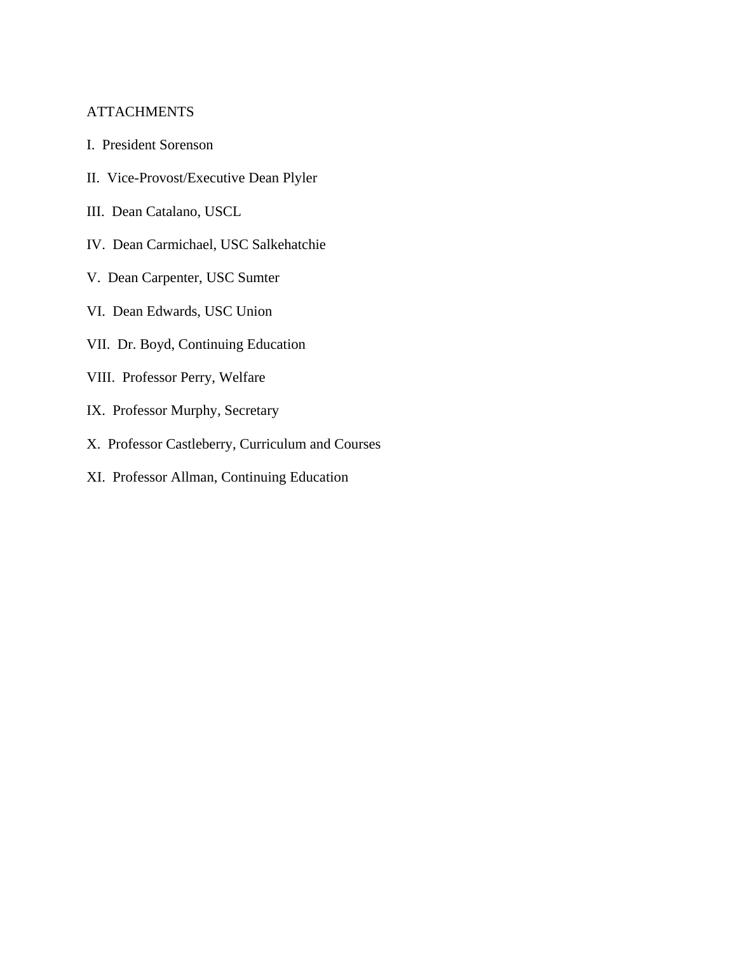# **ATTACHMENTS**

- I. President Sorenson
- II. Vice-Provost/Executive Dean Plyler
- III. Dean Catalano, USCL
- IV. Dean Carmichael, USC Salkehatchie
- V. Dean Carpenter, USC Sumter
- VI. Dean Edwards, USC Union
- VII. Dr. Boyd, Continuing Education
- VIII. Professor Perry, Welfare
- IX. Professor Murphy, Secretary
- X. Professor Castleberry, Curriculum and Courses
- XI. Professor Allman, Continuing Education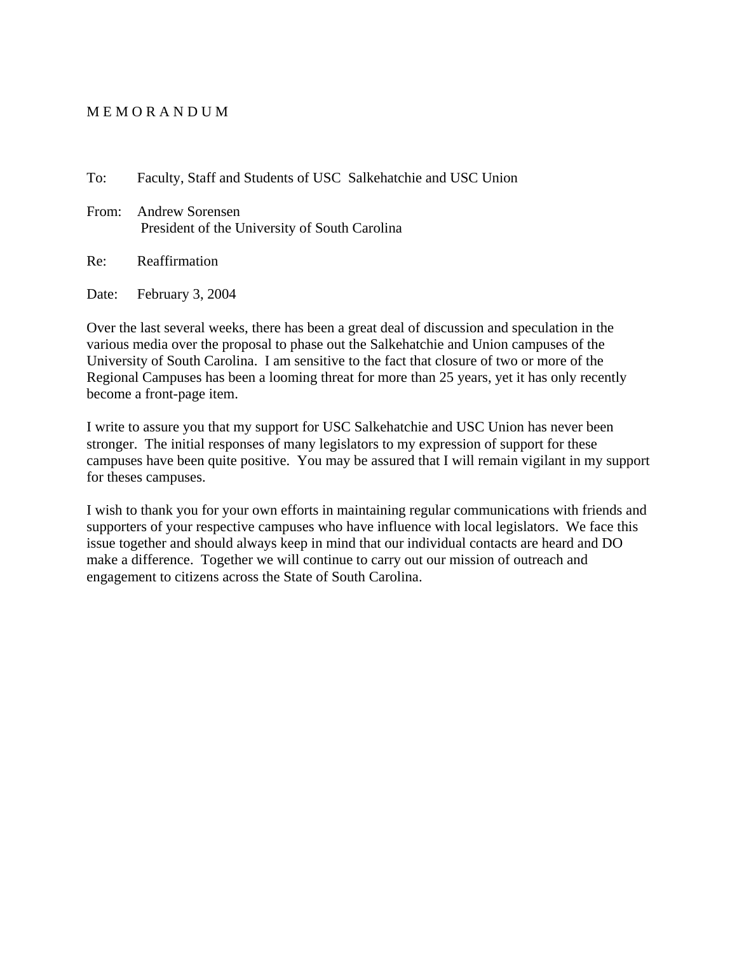#### M E M O R A N D U M

To: Faculty, Staff and Students of USC Salkehatchie and USC Union

From: Andrew Sorensen President of the University of South Carolina

Re: Reaffirmation

Date: February 3, 2004

Over the last several weeks, there has been a great deal of discussion and speculation in the various media over the proposal to phase out the Salkehatchie and Union campuses of the University of South Carolina. I am sensitive to the fact that closure of two or more of the Regional Campuses has been a looming threat for more than 25 years, yet it has only recently become a front-page item.

I write to assure you that my support for USC Salkehatchie and USC Union has never been stronger. The initial responses of many legislators to my expression of support for these campuses have been quite positive. You may be assured that I will remain vigilant in my support for theses campuses.

I wish to thank you for your own efforts in maintaining regular communications with friends and supporters of your respective campuses who have influence with local legislators. We face this issue together and should always keep in mind that our individual contacts are heard and DO make a difference. Together we will continue to carry out our mission of outreach and engagement to citizens across the State of South Carolina.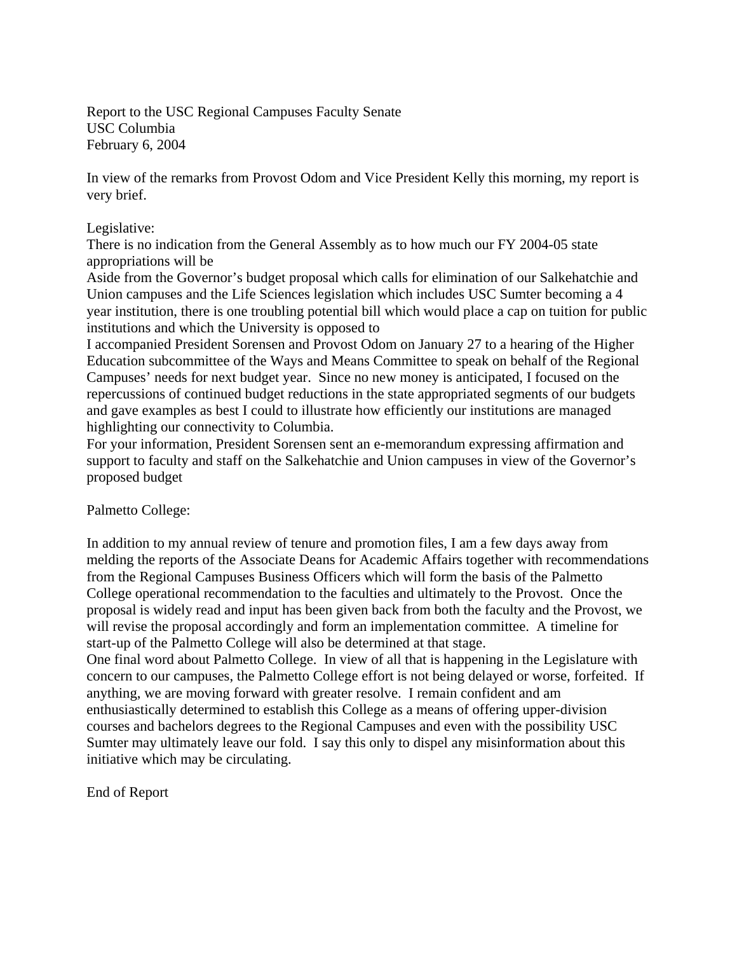Report to the USC Regional Campuses Faculty Senate USC Columbia February 6, 2004

In view of the remarks from Provost Odom and Vice President Kelly this morning, my report is very brief.

## Legislative:

There is no indication from the General Assembly as to how much our FY 2004-05 state appropriations will be

Aside from the Governor's budget proposal which calls for elimination of our Salkehatchie and Union campuses and the Life Sciences legislation which includes USC Sumter becoming a 4 year institution, there is one troubling potential bill which would place a cap on tuition for public institutions and which the University is opposed to

I accompanied President Sorensen and Provost Odom on January 27 to a hearing of the Higher Education subcommittee of the Ways and Means Committee to speak on behalf of the Regional Campuses' needs for next budget year. Since no new money is anticipated, I focused on the repercussions of continued budget reductions in the state appropriated segments of our budgets and gave examples as best I could to illustrate how efficiently our institutions are managed highlighting our connectivity to Columbia.

For your information, President Sorensen sent an e-memorandum expressing affirmation and support to faculty and staff on the Salkehatchie and Union campuses in view of the Governor's proposed budget

Palmetto College:

In addition to my annual review of tenure and promotion files, I am a few days away from melding the reports of the Associate Deans for Academic Affairs together with recommendations from the Regional Campuses Business Officers which will form the basis of the Palmetto College operational recommendation to the faculties and ultimately to the Provost. Once the proposal is widely read and input has been given back from both the faculty and the Provost, we will revise the proposal accordingly and form an implementation committee. A timeline for start-up of the Palmetto College will also be determined at that stage.

One final word about Palmetto College. In view of all that is happening in the Legislature with concern to our campuses, the Palmetto College effort is not being delayed or worse, forfeited. If anything, we are moving forward with greater resolve. I remain confident and am enthusiastically determined to establish this College as a means of offering upper-division courses and bachelors degrees to the Regional Campuses and even with the possibility USC Sumter may ultimately leave our fold. I say this only to dispel any misinformation about this initiative which may be circulating.

End of Report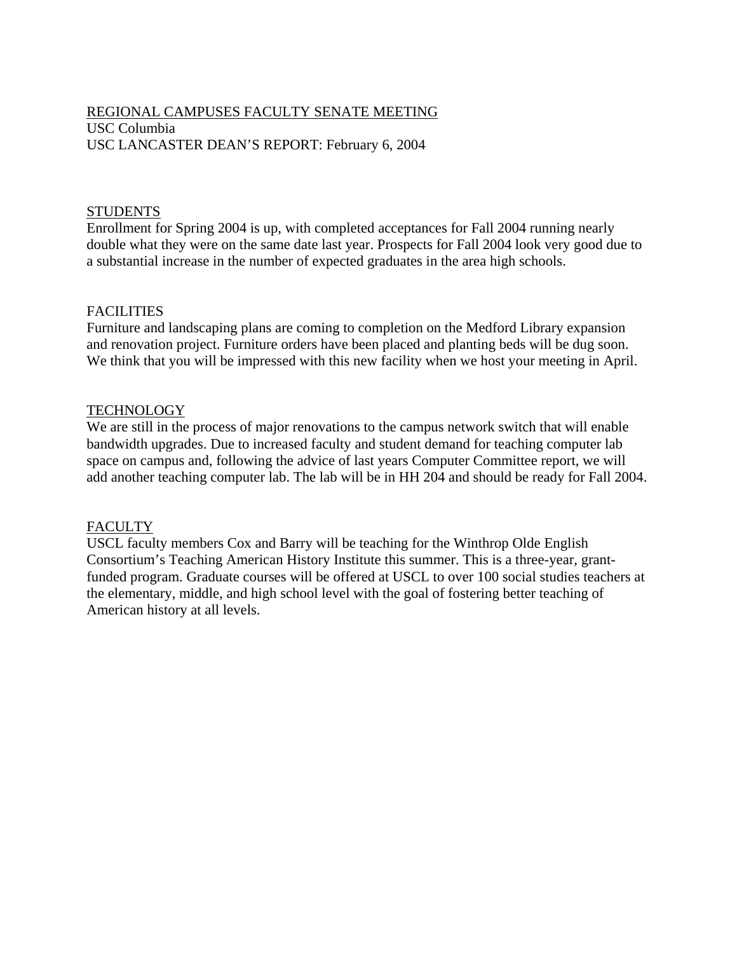# REGIONAL CAMPUSES FACULTY SENATE MEETING USC Columbia USC LANCASTER DEAN'S REPORT: February 6, 2004

## **STUDENTS**

Enrollment for Spring 2004 is up, with completed acceptances for Fall 2004 running nearly double what they were on the same date last year. Prospects for Fall 2004 look very good due to a substantial increase in the number of expected graduates in the area high schools.

## **FACILITIES**

Furniture and landscaping plans are coming to completion on the Medford Library expansion and renovation project. Furniture orders have been placed and planting beds will be dug soon. We think that you will be impressed with this new facility when we host your meeting in April.

## TECHNOLOGY

We are still in the process of major renovations to the campus network switch that will enable bandwidth upgrades. Due to increased faculty and student demand for teaching computer lab space on campus and, following the advice of last years Computer Committee report, we will add another teaching computer lab. The lab will be in HH 204 and should be ready for Fall 2004.

## FACULTY

USCL faculty members Cox and Barry will be teaching for the Winthrop Olde English Consortium's Teaching American History Institute this summer. This is a three-year, grantfunded program. Graduate courses will be offered at USCL to over 100 social studies teachers at the elementary, middle, and high school level with the goal of fostering better teaching of American history at all levels.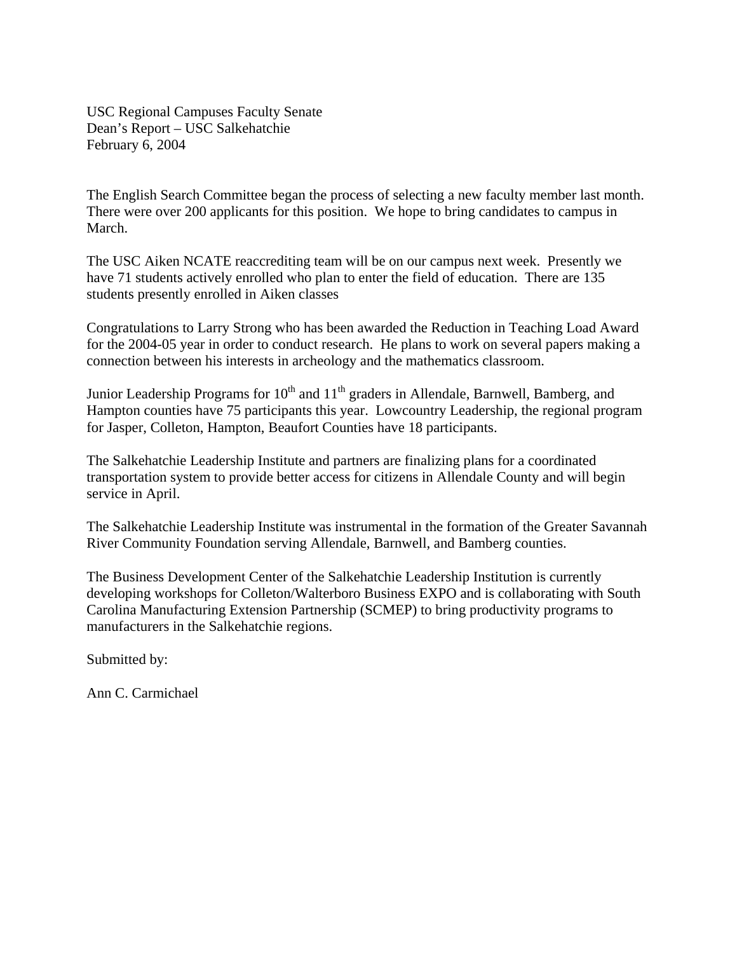USC Regional Campuses Faculty Senate Dean's Report – USC Salkehatchie February 6, 2004

The English Search Committee began the process of selecting a new faculty member last month. There were over 200 applicants for this position. We hope to bring candidates to campus in March.

The USC Aiken NCATE reaccrediting team will be on our campus next week. Presently we have 71 students actively enrolled who plan to enter the field of education. There are 135 students presently enrolled in Aiken classes

Congratulations to Larry Strong who has been awarded the Reduction in Teaching Load Award for the 2004-05 year in order to conduct research. He plans to work on several papers making a connection between his interests in archeology and the mathematics classroom.

Junior Leadership Programs for  $10<sup>th</sup>$  and  $11<sup>th</sup>$  graders in Allendale, Barnwell, Bamberg, and Hampton counties have 75 participants this year. Lowcountry Leadership, the regional program for Jasper, Colleton, Hampton, Beaufort Counties have 18 participants.

The Salkehatchie Leadership Institute and partners are finalizing plans for a coordinated transportation system to provide better access for citizens in Allendale County and will begin service in April.

The Salkehatchie Leadership Institute was instrumental in the formation of the Greater Savannah River Community Foundation serving Allendale, Barnwell, and Bamberg counties.

The Business Development Center of the Salkehatchie Leadership Institution is currently developing workshops for Colleton/Walterboro Business EXPO and is collaborating with South Carolina Manufacturing Extension Partnership (SCMEP) to bring productivity programs to manufacturers in the Salkehatchie regions.

Submitted by:

Ann C. Carmichael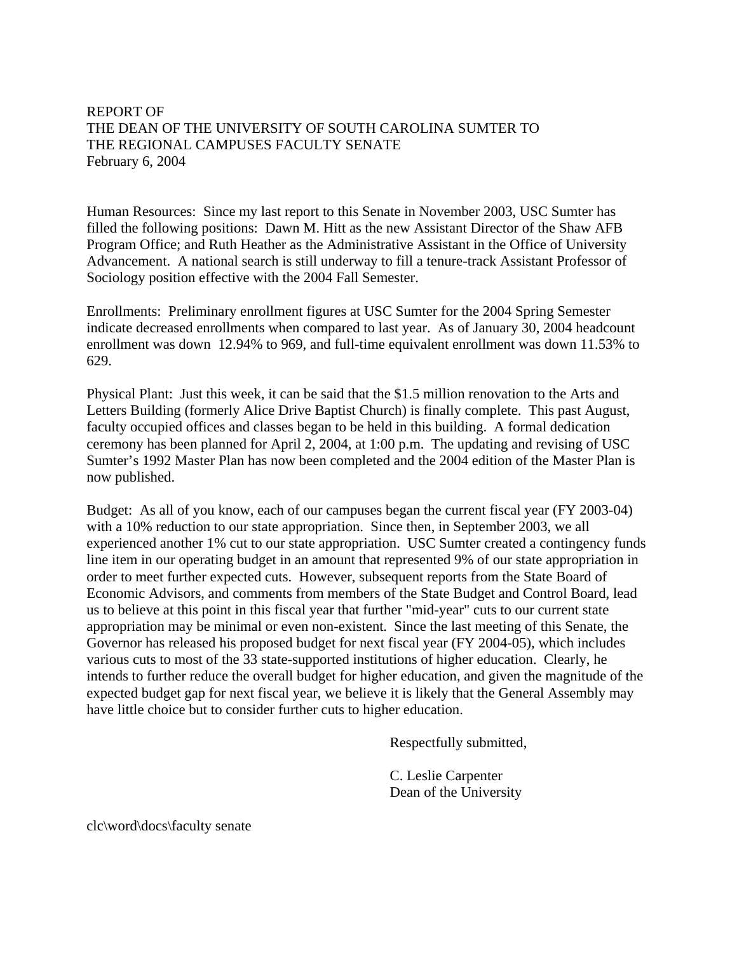REPORT OF THE DEAN OF THE UNIVERSITY OF SOUTH CAROLINA SUMTER TO THE REGIONAL CAMPUSES FACULTY SENATE February 6, 2004

Human Resources: Since my last report to this Senate in November 2003, USC Sumter has filled the following positions: Dawn M. Hitt as the new Assistant Director of the Shaw AFB Program Office; and Ruth Heather as the Administrative Assistant in the Office of University Advancement. A national search is still underway to fill a tenure-track Assistant Professor of Sociology position effective with the 2004 Fall Semester.

Enrollments: Preliminary enrollment figures at USC Sumter for the 2004 Spring Semester indicate decreased enrollments when compared to last year. As of January 30, 2004 headcount enrollment was down 12.94% to 969, and full-time equivalent enrollment was down 11.53% to 629.

Physical Plant: Just this week, it can be said that the \$1.5 million renovation to the Arts and Letters Building (formerly Alice Drive Baptist Church) is finally complete. This past August, faculty occupied offices and classes began to be held in this building. A formal dedication ceremony has been planned for April 2, 2004, at 1:00 p.m. The updating and revising of USC Sumter's 1992 Master Plan has now been completed and the 2004 edition of the Master Plan is now published.

Budget: As all of you know, each of our campuses began the current fiscal year (FY 2003-04) with a 10% reduction to our state appropriation. Since then, in September 2003, we all experienced another 1% cut to our state appropriation. USC Sumter created a contingency funds line item in our operating budget in an amount that represented 9% of our state appropriation in order to meet further expected cuts. However, subsequent reports from the State Board of Economic Advisors, and comments from members of the State Budget and Control Board, lead us to believe at this point in this fiscal year that further "mid-year" cuts to our current state appropriation may be minimal or even non-existent. Since the last meeting of this Senate, the Governor has released his proposed budget for next fiscal year (FY 2004-05), which includes various cuts to most of the 33 state-supported institutions of higher education. Clearly, he intends to further reduce the overall budget for higher education, and given the magnitude of the expected budget gap for next fiscal year, we believe it is likely that the General Assembly may have little choice but to consider further cuts to higher education.

Respectfully submitted,

 C. Leslie Carpenter Dean of the University

clc\word\docs\faculty senate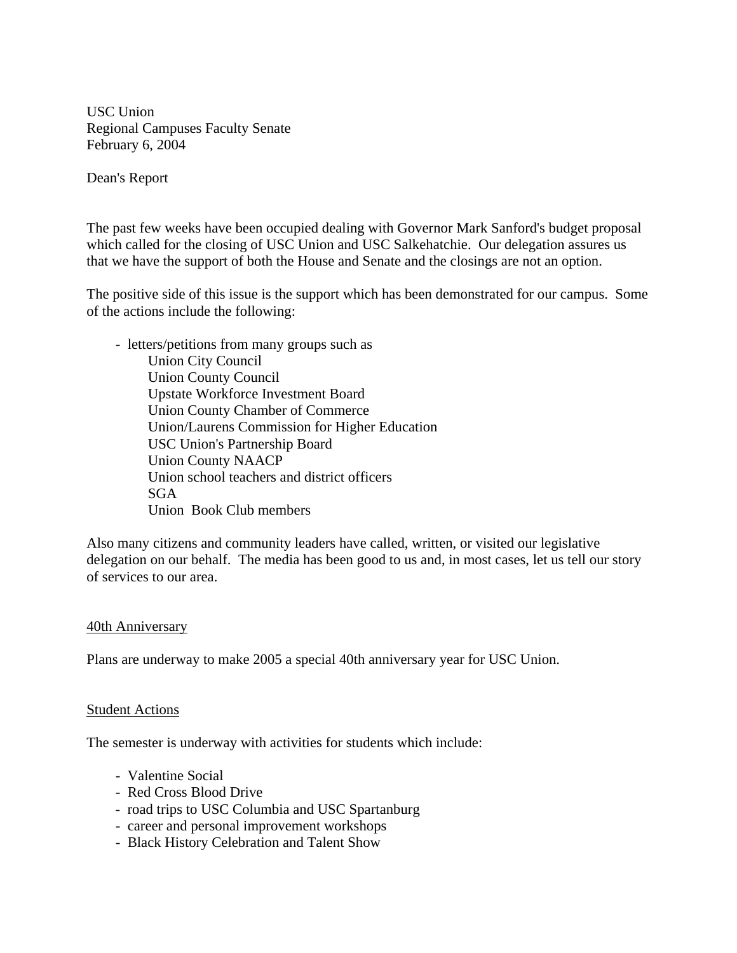USC Union Regional Campuses Faculty Senate February 6, 2004

Dean's Report

The past few weeks have been occupied dealing with Governor Mark Sanford's budget proposal which called for the closing of USC Union and USC Salkehatchie. Our delegation assures us that we have the support of both the House and Senate and the closings are not an option.

The positive side of this issue is the support which has been demonstrated for our campus. Some of the actions include the following:

 - letters/petitions from many groups such as Union City Council Union County Council Upstate Workforce Investment Board Union County Chamber of Commerce Union/Laurens Commission for Higher Education USC Union's Partnership Board Union County NAACP Union school teachers and district officers SGA Union Book Club members

Also many citizens and community leaders have called, written, or visited our legislative delegation on our behalf. The media has been good to us and, in most cases, let us tell our story of services to our area.

#### 40th Anniversary

Plans are underway to make 2005 a special 40th anniversary year for USC Union.

#### Student Actions

The semester is underway with activities for students which include:

- Valentine Social
- Red Cross Blood Drive
- road trips to USC Columbia and USC Spartanburg
- career and personal improvement workshops
- Black History Celebration and Talent Show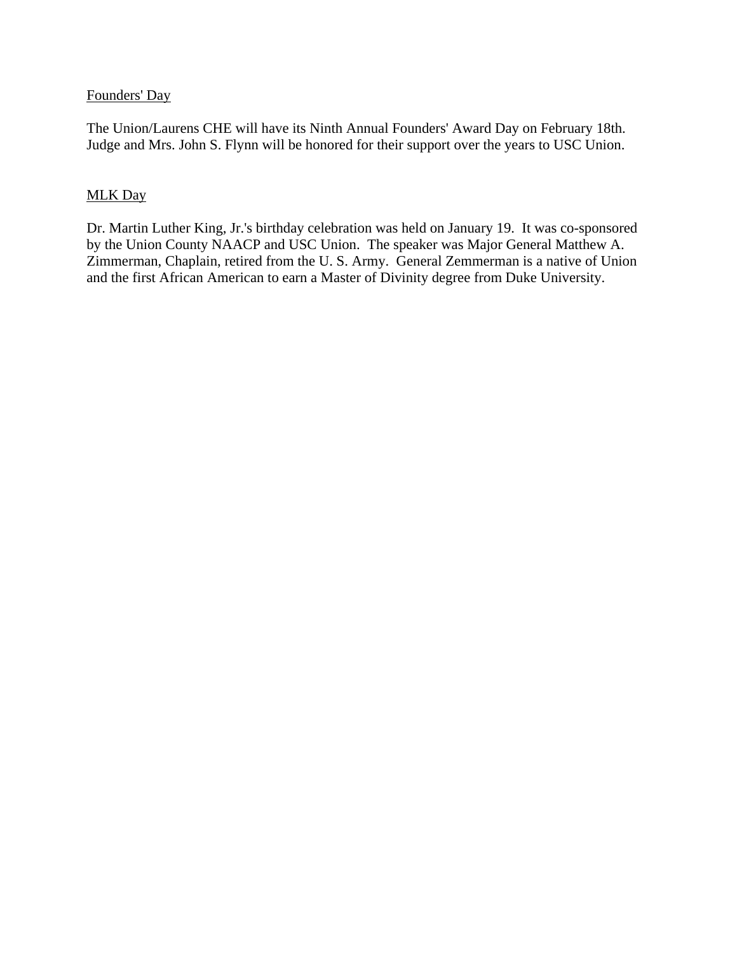## Founders' Day

The Union/Laurens CHE will have its Ninth Annual Founders' Award Day on February 18th. Judge and Mrs. John S. Flynn will be honored for their support over the years to USC Union.

## MLK Day

Dr. Martin Luther King, Jr.'s birthday celebration was held on January 19. It was co-sponsored by the Union County NAACP and USC Union. The speaker was Major General Matthew A. Zimmerman, Chaplain, retired from the U. S. Army. General Zemmerman is a native of Union and the first African American to earn a Master of Divinity degree from Duke University.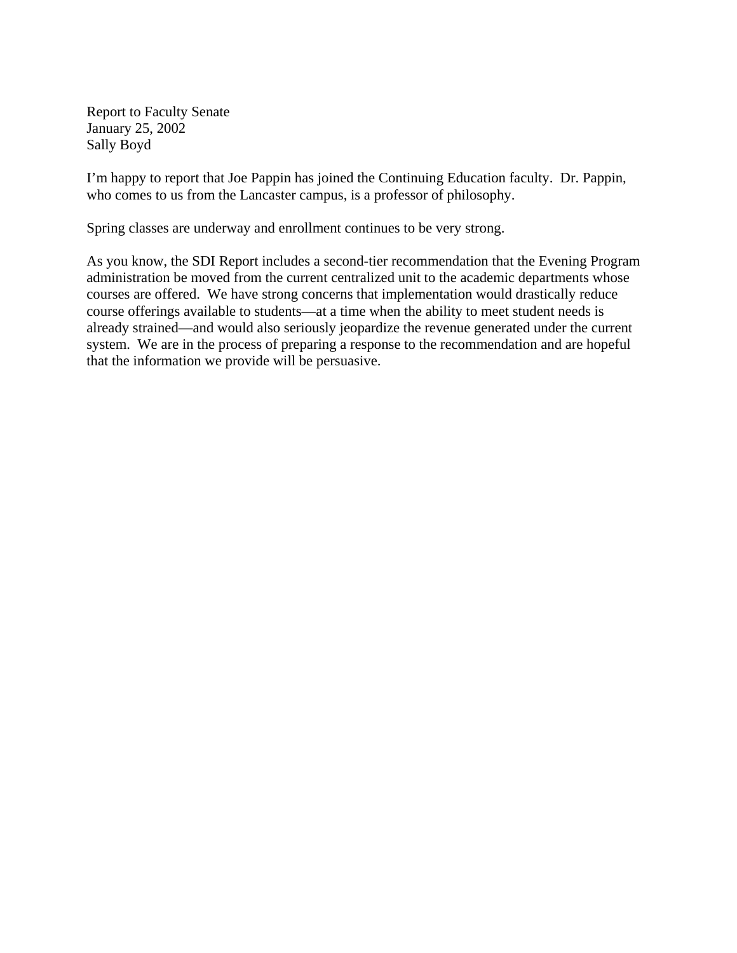Report to Faculty Senate January 25, 2002 Sally Boyd

I'm happy to report that Joe Pappin has joined the Continuing Education faculty. Dr. Pappin, who comes to us from the Lancaster campus, is a professor of philosophy.

Spring classes are underway and enrollment continues to be very strong.

As you know, the SDI Report includes a second-tier recommendation that the Evening Program administration be moved from the current centralized unit to the academic departments whose courses are offered. We have strong concerns that implementation would drastically reduce course offerings available to students—at a time when the ability to meet student needs is already strained—and would also seriously jeopardize the revenue generated under the current system. We are in the process of preparing a response to the recommendation and are hopeful that the information we provide will be persuasive.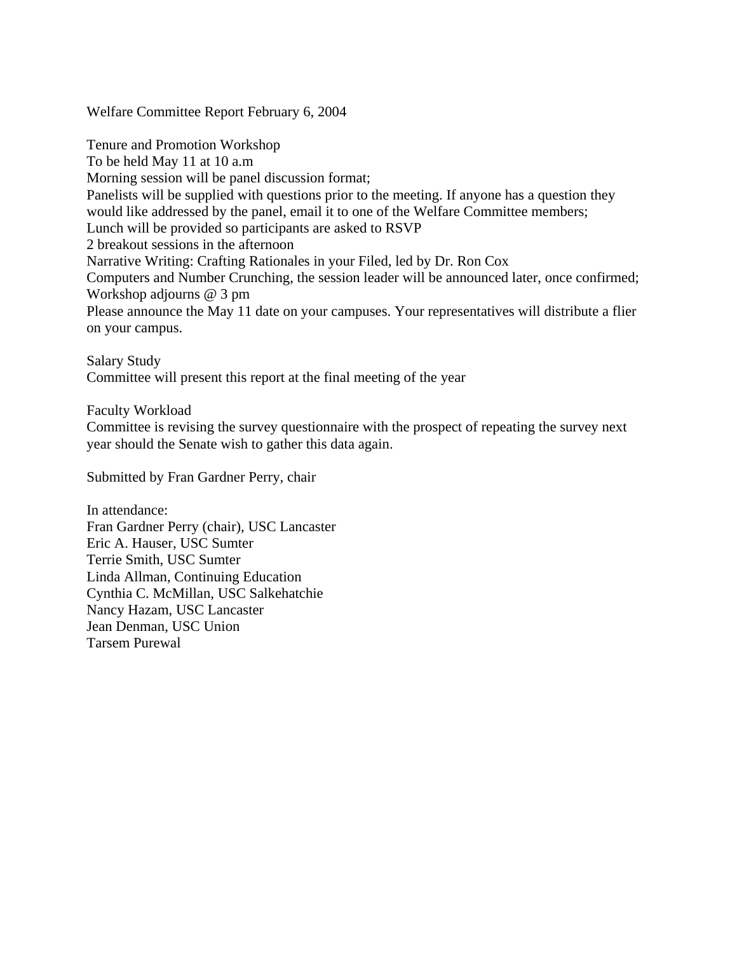Welfare Committee Report February 6, 2004

Tenure and Promotion Workshop To be held May 11 at 10 a.m Morning session will be panel discussion format; Panelists will be supplied with questions prior to the meeting. If anyone has a question they would like addressed by the panel, email it to one of the Welfare Committee members; Lunch will be provided so participants are asked to RSVP 2 breakout sessions in the afternoon Narrative Writing: Crafting Rationales in your Filed, led by Dr. Ron Cox Computers and Number Crunching, the session leader will be announced later, once confirmed; Workshop adjourns @ 3 pm Please announce the May 11 date on your campuses. Your representatives will distribute a flier on your campus.

Salary Study Committee will present this report at the final meeting of the year

Faculty Workload

Committee is revising the survey questionnaire with the prospect of repeating the survey next year should the Senate wish to gather this data again.

Submitted by Fran Gardner Perry, chair

In attendance: Fran Gardner Perry (chair), USC Lancaster Eric A. Hauser, USC Sumter Terrie Smith, USC Sumter Linda Allman, Continuing Education Cynthia C. McMillan, USC Salkehatchie Nancy Hazam, USC Lancaster Jean Denman, USC Union Tarsem Purewal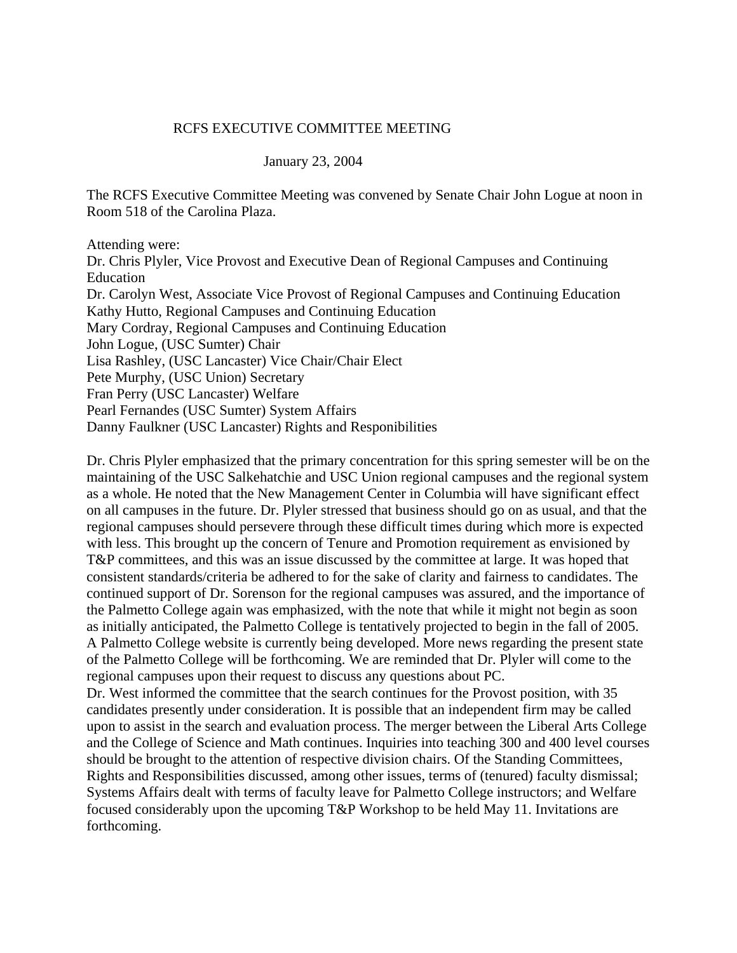#### RCFS EXECUTIVE COMMITTEE MEETING

#### January 23, 2004

The RCFS Executive Committee Meeting was convened by Senate Chair John Logue at noon in Room 518 of the Carolina Plaza.

Attending were:

Dr. Chris Plyler, Vice Provost and Executive Dean of Regional Campuses and Continuing Education Dr. Carolyn West, Associate Vice Provost of Regional Campuses and Continuing Education Kathy Hutto, Regional Campuses and Continuing Education Mary Cordray, Regional Campuses and Continuing Education John Logue, (USC Sumter) Chair Lisa Rashley, (USC Lancaster) Vice Chair/Chair Elect Pete Murphy, (USC Union) Secretary Fran Perry (USC Lancaster) Welfare Pearl Fernandes (USC Sumter) System Affairs Danny Faulkner (USC Lancaster) Rights and Responibilities

Dr. Chris Plyler emphasized that the primary concentration for this spring semester will be on the maintaining of the USC Salkehatchie and USC Union regional campuses and the regional system as a whole. He noted that the New Management Center in Columbia will have significant effect on all campuses in the future. Dr. Plyler stressed that business should go on as usual, and that the regional campuses should persevere through these difficult times during which more is expected with less. This brought up the concern of Tenure and Promotion requirement as envisioned by T&P committees, and this was an issue discussed by the committee at large. It was hoped that consistent standards/criteria be adhered to for the sake of clarity and fairness to candidates. The continued support of Dr. Sorenson for the regional campuses was assured, and the importance of the Palmetto College again was emphasized, with the note that while it might not begin as soon as initially anticipated, the Palmetto College is tentatively projected to begin in the fall of 2005. A Palmetto College website is currently being developed. More news regarding the present state of the Palmetto College will be forthcoming. We are reminded that Dr. Plyler will come to the regional campuses upon their request to discuss any questions about PC.

Dr. West informed the committee that the search continues for the Provost position, with 35 candidates presently under consideration. It is possible that an independent firm may be called upon to assist in the search and evaluation process. The merger between the Liberal Arts College and the College of Science and Math continues. Inquiries into teaching 300 and 400 level courses should be brought to the attention of respective division chairs. Of the Standing Committees, Rights and Responsibilities discussed, among other issues, terms of (tenured) faculty dismissal; Systems Affairs dealt with terms of faculty leave for Palmetto College instructors; and Welfare focused considerably upon the upcoming T&P Workshop to be held May 11. Invitations are forthcoming.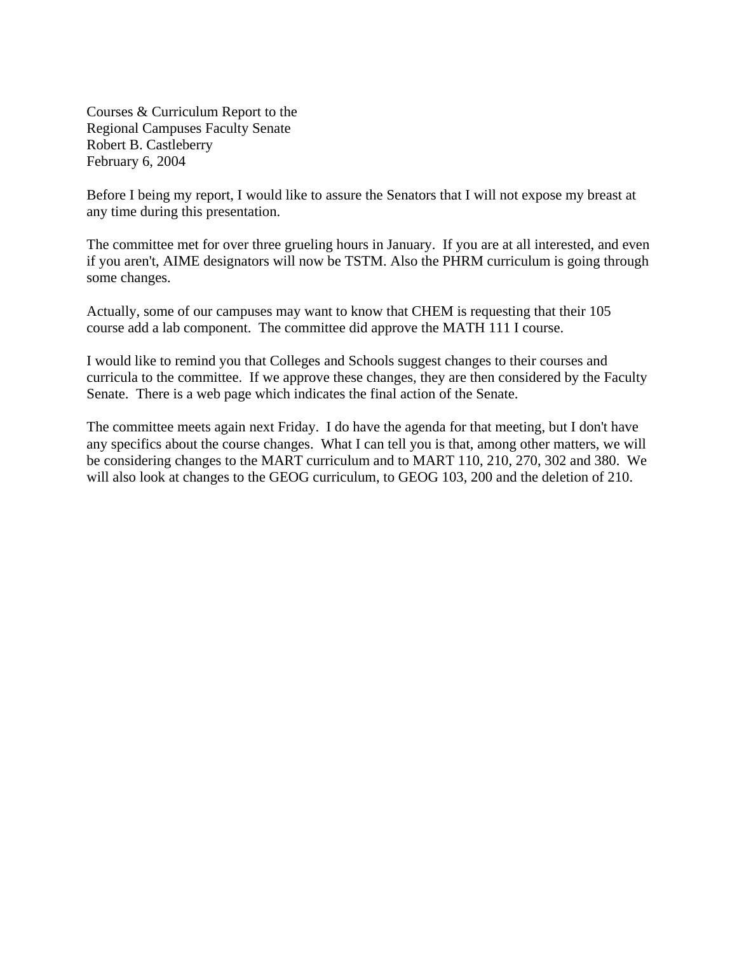Courses & Curriculum Report to the Regional Campuses Faculty Senate Robert B. Castleberry February 6, 2004

Before I being my report, I would like to assure the Senators that I will not expose my breast at any time during this presentation.

The committee met for over three grueling hours in January. If you are at all interested, and even if you aren't, AIME designators will now be TSTM. Also the PHRM curriculum is going through some changes.

Actually, some of our campuses may want to know that CHEM is requesting that their 105 course add a lab component. The committee did approve the MATH 111 I course.

I would like to remind you that Colleges and Schools suggest changes to their courses and curricula to the committee. If we approve these changes, they are then considered by the Faculty Senate. There is a web page which indicates the final action of the Senate.

The committee meets again next Friday. I do have the agenda for that meeting, but I don't have any specifics about the course changes. What I can tell you is that, among other matters, we will be considering changes to the MART curriculum and to MART 110, 210, 270, 302 and 380. We will also look at changes to the GEOG curriculum, to GEOG 103, 200 and the deletion of 210.